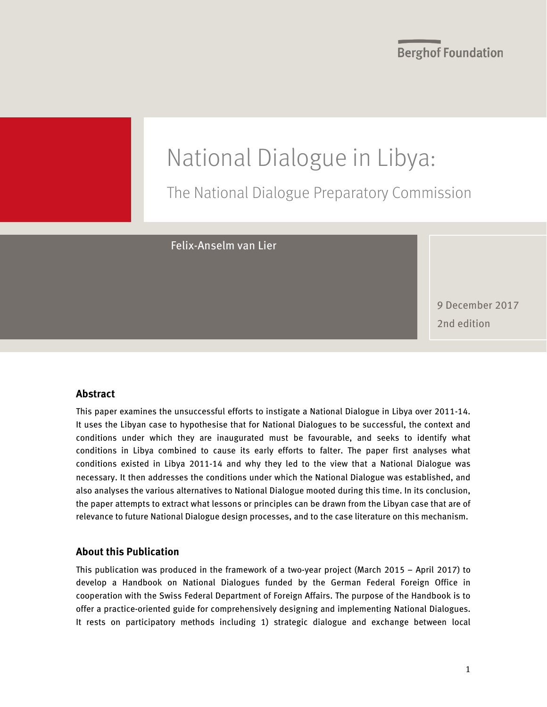

The National Dialogue Preparatory Commission

Felix-Anselm van Lier

9 December 2017 2nd edition

#### **Abstract**

This paper examines the unsuccessful efforts to instigate a National Dialogue in Libya over 2011-14. It uses the Libyan case to hypothesise that for National Dialogues to be successful, the context and conditions under which they are inaugurated must be favourable, and seeks to identify what conditions in Libya combined to cause its early efforts to falter. The paper first analyses what conditions existed in Libya 2011-14 and why they led to the view that a National Dialogue was necessary. It then addresses the conditions under which the National Dialogue was established, and also analyses the various alternatives to National Dialogue mooted during this time. In its conclusion, the paper attempts to extract what lessons or principles can be drawn from the Libyan case that are of relevance to future National Dialogue design processes, and to the case literature on this mechanism.

#### **About this Publication**

This publication was produced in the framework of a two-year project (March 2015 – April 2017) to develop a Handbook on National Dialogues funded by the German Federal Foreign Office in cooperation with the Swiss Federal Department of Foreign Affairs. The purpose of the Handbook is to offer a practice-oriented guide for comprehensively designing and implementing National Dialogues. It rests on participatory methods including 1) strategic dialogue and exchange between local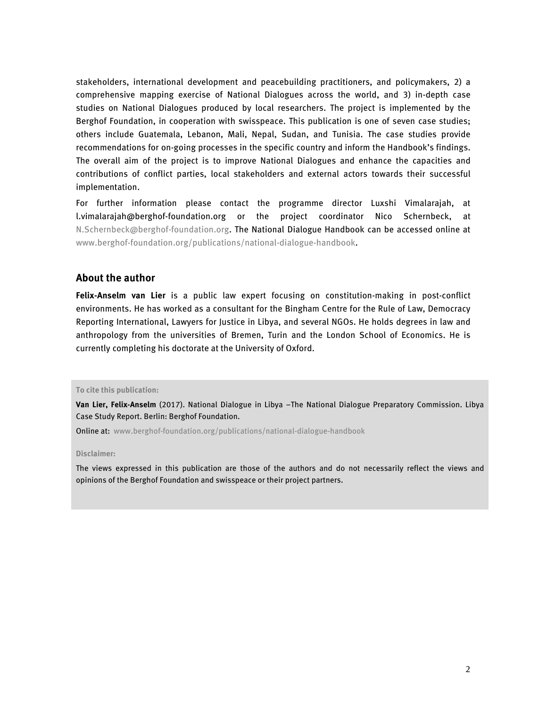stakeholders, international development and peacebuilding practitioners, and policymakers, 2) a comprehensive mapping exercise of National Dialogues across the world, and 3) in-depth case studies on National Dialogues produced by local researchers. The project is implemented by the Berghof Foundation, in cooperation with swisspeace. This publication is one of seven case studies; others include Guatemala, Lebanon, Mali, Nepal, Sudan, and Tunisia. The case studies provide recommendations for on-going processes in the specific country and inform the Handbook's findings. The overall aim of the project is to improve National Dialogues and enhance the capacities and contributions of conflict parties, local stakeholders and external actors towards their successful implementation.

For further information please contact the programme director Luxshi Vimalarajah, at l.vimalarajah@berghof-foundation.org or the project coordinator Nico Schernbeck, at [N.Schernbeck@berghof-foundation.org.](mailto:N.Schernbeck@berghof-foundation.org) The National Dialogue Handbook can be accessed online at www.berghof-foundation.org/publications/national-dialogue-handbook.

#### **About the author**

**Felix-Anselm van Lier** is a public law expert focusing on constitution-making in post-conflict environments. He has worked as a consultant for the Bingham Centre for the Rule of Law, Democracy Reporting International, Lawyers for Justice in Libya, and several NGOs. He holds degrees in law and anthropology from the universities of Bremen, Turin and the London School of Economics. He is currently completing his doctorate at the University of Oxford.

**To cite this publication:**

**Van Lier, Felix-Anselm** (2017). National Dialogue in Libya –The National Dialogue Preparatory Commission. Libya Case Study Report. Berlin: Berghof Foundation.

Online at: [www.berghof-foundation.org/publications/national-dialogue-handbook](http://www.berghof-foundation.org/publications/national-dialogue-handbook)

**Disclaimer:**

The views expressed in this publication are those of the authors and do not necessarily reflect the views and opinions of the Berghof Foundation and swisspeace or their project partners.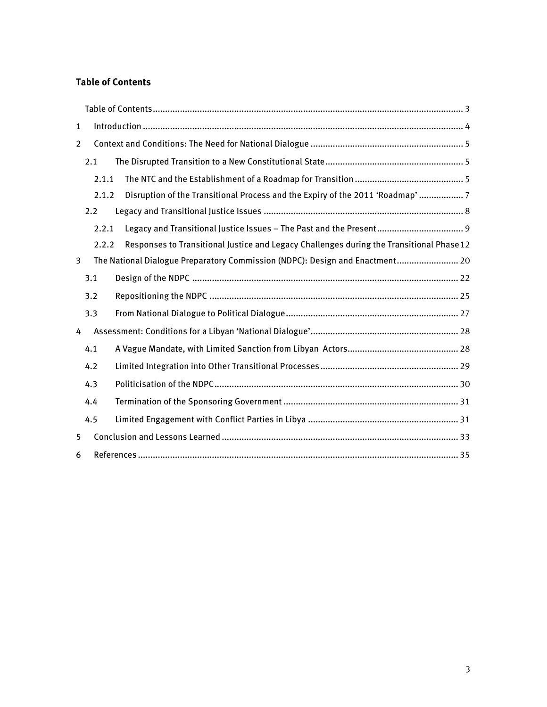#### <span id="page-2-0"></span>**Table of Contents**

| $\mathbf{1}$   |                                                                              |                                                                                          |
|----------------|------------------------------------------------------------------------------|------------------------------------------------------------------------------------------|
| $\overline{2}$ |                                                                              |                                                                                          |
|                | 2.1                                                                          |                                                                                          |
|                | 2.1.1                                                                        |                                                                                          |
|                | 2.1.2                                                                        | Disruption of the Transitional Process and the Expiry of the 2011 'Roadmap'  7           |
|                | 2.2                                                                          |                                                                                          |
|                | 2.2.1                                                                        |                                                                                          |
|                | 2.2.2                                                                        | Responses to Transitional Justice and Legacy Challenges during the Transitional Phase 12 |
| 3              | The National Dialogue Preparatory Commission (NDPC): Design and Enactment 20 |                                                                                          |
|                | 3.1                                                                          |                                                                                          |
|                | 3.2                                                                          |                                                                                          |
|                | 3.3                                                                          |                                                                                          |
| 4              |                                                                              |                                                                                          |
|                | 4.1                                                                          |                                                                                          |
|                | 4.2                                                                          |                                                                                          |
|                | 4.3                                                                          |                                                                                          |
|                | 4.4                                                                          |                                                                                          |
|                | 4.5                                                                          |                                                                                          |
| 5              |                                                                              |                                                                                          |
| 6              |                                                                              |                                                                                          |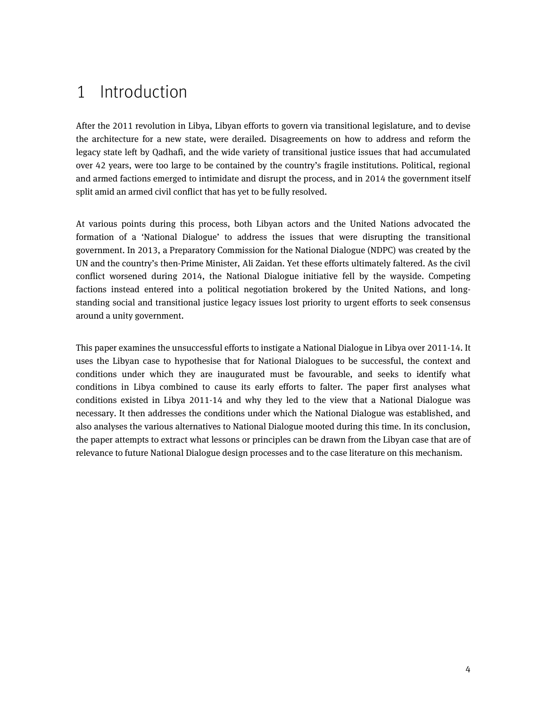# <span id="page-3-0"></span>1 Introduction

After the 2011 revolution in Libya, Libyan efforts to govern via transitional legislature, and to devise the architecture for a new state, were derailed. Disagreements on how to address and reform the legacy state left by Qadhafi, and the wide variety of transitional justice issues that had accumulated over 42 years, were too large to be contained by the country's fragile institutions. Political, regional and armed factions emerged to intimidate and disrupt the process, and in 2014 the government itself split amid an armed civil conflict that has yet to be fully resolved.

At various points during this process, both Libyan actors and the United Nations advocated the formation of a 'National Dialogue' to address the issues that were disrupting the transitional government. In 2013, a Preparatory Commission for the National Dialogue (NDPC) was created by the UN and the country's then-Prime Minister, Ali Zaidan. Yet these efforts ultimately faltered. As the civil conflict worsened during 2014, the National Dialogue initiative fell by the wayside. Competing factions instead entered into a political negotiation brokered by the United Nations, and longstanding social and transitional justice legacy issues lost priority to urgent efforts to seek consensus around a unity government.

This paper examines the unsuccessful efforts to instigate a National Dialogue in Libya over 2011-14. It uses the Libyan case to hypothesise that for National Dialogues to be successful, the context and conditions under which they are inaugurated must be favourable, and seeks to identify what conditions in Libya combined to cause its early efforts to falter. The paper first analyses what conditions existed in Libya 2011-14 and why they led to the view that a National Dialogue was necessary. It then addresses the conditions under which the National Dialogue was established, and also analyses the various alternatives to National Dialogue mooted during this time. In its conclusion, the paper attempts to extract what lessons or principles can be drawn from the Libyan case that are of relevance to future National Dialogue design processes and to the case literature on this mechanism.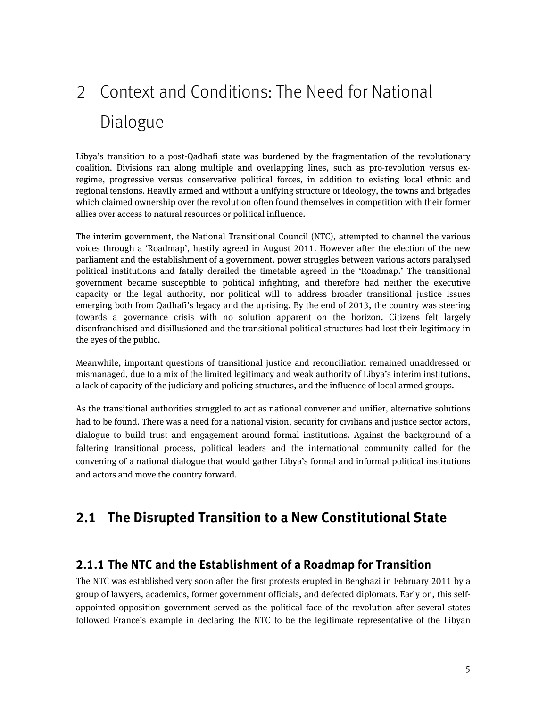# <span id="page-4-0"></span>2 Context and Conditions: The Need for National Dialogue

Libya's transition to a post-Qadhafi state was burdened by the fragmentation of the revolutionary coalition. Divisions ran along multiple and overlapping lines, such as pro-revolution versus exregime, progressive versus conservative political forces, in addition to existing local ethnic and regional tensions. Heavily armed and without a unifying structure or ideology, the towns and brigades which claimed ownership over the revolution often found themselves in competition with their former allies over access to natural resources or political influence.

The interim government, the National Transitional Council (NTC), attempted to channel the various voices through a 'Roadmap', hastily agreed in August 2011. However after the election of the new parliament and the establishment of a government, power struggles between various actors paralysed political institutions and fatally derailed the timetable agreed in the 'Roadmap.' The transitional government became susceptible to political infighting, and therefore had neither the executive capacity or the legal authority, nor political will to address broader transitional justice issues emerging both from Qadhafi's legacy and the uprising. By the end of 2013, the country was steering towards a governance crisis with no solution apparent on the horizon. Citizens felt largely disenfranchised and disillusioned and the transitional political structures had lost their legitimacy in the eyes of the public.

Meanwhile, important questions of transitional justice and reconciliation remained unaddressed or mismanaged, due to a mix of the limited legitimacy and weak authority of Libya's interim institutions, a lack of capacity of the judiciary and policing structures, and the influence of local armed groups.

As the transitional authorities struggled to act as national convener and unifier, alternative solutions had to be found. There was a need for a national vision, security for civilians and justice sector actors, dialogue to build trust and engagement around formal institutions. Against the background of a faltering transitional process, political leaders and the international community called for the convening of a national dialogue that would gather Libya's formal and informal political institutions and actors and move the country forward.

# <span id="page-4-2"></span><span id="page-4-1"></span>**2.1 The Disrupted Transition to a New Constitutional State**

#### **2.1.1 The NTC and the Establishment of a Roadmap for Transition**

The NTC was established very soon after the first protests erupted in Benghazi in February 2011 by a group of lawyers, academics, former government officials, and defected diplomats. Early on, this selfappointed opposition government served as the political face of the revolution after several states followed France's example in declaring the NTC to be the legitimate representative of the Libyan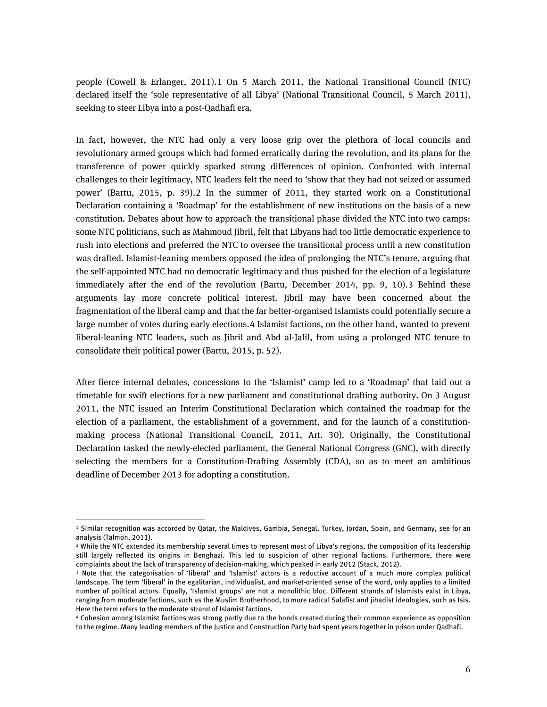people (Cowell & Erlanger, 2011).[1](#page-5-0) On 5 March 2011, the National Transitional Council (NTC) declared itself the 'sole representative of all Libya' (National Transitional Council, 5 March 2011), seeking to steer Libya into a post-Qadhafi era.

In fact, however, the NTC had only a very loose grip over the plethora of local councils and revolutionary armed groups which had formed erratically during the revolution, and its plans for the transference of power quickly sparked strong differences of opinion. Confronted with internal challenges to their legitimacy, NTC leaders felt the need to 'show that they had not seized or assumed power' (Bartu, 2015, p. 39).[2](#page-5-1) In the summer of 2011, they started work on a Constitutional Declaration containing a 'Roadmap' for the establishment of new institutions on the basis of a new constitution. Debates about how to approach the transitional phase divided the NTC into two camps: some NTC politicians, such as Mahmoud Jibril, felt that Libyans had too little democratic experience to rush into elections and preferred the NTC to oversee the transitional process until a new constitution was drafted. Islamist-leaning members opposed the idea of prolonging the NTC's tenure, arguing that the self-appointed NTC had no democratic legitimacy and thus pushed for the election of a legislature immediately after the end of the revolution (Bartu, December 2014, pp. 9, 10).[3](#page-5-2) Behind these arguments lay more concrete political interest. Jibril may have been concerned about the fragmentation of the liberal camp and that the far better-organised Islamists could potentially secure a large number of votes during early elections.[4](#page-5-3) Islamist factions, on the other hand, wanted to prevent liberal-leaning NTC leaders, such as Jibril and Abd al-Jalil, from using a prolonged NTC tenure to consolidate their political power (Bartu, 2015, p. 52).

After fierce internal debates, concessions to the 'Islamist' camp led to a 'Roadmap' that laid out a timetable for swift elections for a new parliament and constitutional drafting authority. On 3 August 2011, the NTC issued an Interim Constitutional Declaration which contained the roadmap for the election of a parliament, the establishment of a government, and for the launch of a constitutionmaking process (National Transitional Council, 2011, Art. 30). Originally, the Constitutional Declaration tasked the newly-elected parliament, the General National Congress (GNC), with directly selecting the members for a Constitution-Drafting Assembly (CDA), so as to meet an ambitious deadline of December 2013 for adopting a constitution.

**.** 

<span id="page-5-0"></span><sup>1</sup> Similar recognition was accorded by Qatar, the Maldives, Gambia, Senegal, Turkey, Jordan, Spain, and Germany, see for an analysis (Talmon, 2011).<br><sup>2</sup> While the NTC extended its membership several times to represent most of Libya's regions, the composition of its leadership

<span id="page-5-1"></span>still largely reflected its origins in Benghazi. This led to suspicion of other regional factions. Furthermore, there were complaints about the lack of transparency of decision-making, which peaked in early 2012 (Stack, 2012).

<span id="page-5-2"></span><sup>3</sup> Note that the categorisation of 'liberal' and 'Islamist' actors is a reductive account of a much more complex political landscape. The term 'liberal' in the egalitarian, individualist, and market-oriented sense of the word, only applies to a limited number of political actors. Equally, 'Islamist groups' are not a monolithic bloc. Different strands of Islamists exist in Libya, ranging from moderate factions, such as the Muslim Brotherhood, to more radical Salafist and jihadist ideologies, such as Isis. Here the term refers to the moderate strand of Islamist factions.

<span id="page-5-3"></span><sup>4</sup> Cohesion among Islamist factions was strong partly due to the bonds created during their common experience as opposition to the regime. Many leading members of the Justice and Construction Party had spent years together in prison under Qadhafi.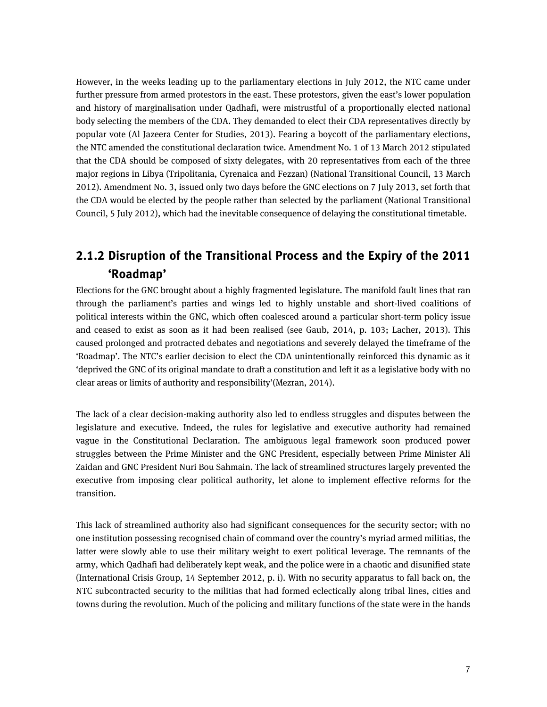However, in the weeks leading up to the parliamentary elections in July 2012, the NTC came under further pressure from armed protestors in the east. These protestors, given the east's lower population and history of marginalisation under Qadhafi, were mistrustful of a proportionally elected national body selecting the members of the CDA. They demanded to elect their CDA representatives directly by popular vote (Al Jazeera Center for Studies, 2013). Fearing a boycott of the parliamentary elections, the NTC amended the constitutional declaration twice. Amendment No. 1 of 13 March 2012 stipulated that the CDA should be composed of sixty delegates, with 20 representatives from each of the three major regions in Libya (Tripolitania, Cyrenaica and Fezzan) (National Transitional Council, 13 March 2012). Amendment No. 3, issued only two days before the GNC elections on 7 July 2013, set forth that the CDA would be elected by the people rather than selected by the parliament (National Transitional Council, 5 July 2012), which had the inevitable consequence of delaying the constitutional timetable.

## <span id="page-6-0"></span>**2.1.2 Disruption of the Transitional Process and the Expiry of the 2011 'Roadmap'**

Elections for the GNC brought about a highly fragmented legislature. The manifold fault lines that ran through the parliament's parties and wings led to highly unstable and short-lived coalitions of political interests within the GNC, which often coalesced around a particular short-term policy issue and ceased to exist as soon as it had been realised (see Gaub, 2014, p. 103; Lacher, 2013). This caused prolonged and protracted debates and negotiations and severely delayed the timeframe of the 'Roadmap'. The NTC's earlier decision to elect the CDA unintentionally reinforced this dynamic as it 'deprived the GNC of its original mandate to draft a constitution and left it as a legislative body with no clear areas or limits of authority and responsibility'(Mezran, 2014).

The lack of a clear decision-making authority also led to endless struggles and disputes between the legislature and executive. Indeed, the rules for legislative and executive authority had remained vague in the Constitutional Declaration. The ambiguous legal framework soon produced power struggles between the Prime Minister and the GNC President, especially between Prime Minister Ali Zaidan and GNC President Nuri Bou Sahmain. The lack of streamlined structures largely prevented the executive from imposing clear political authority, let alone to implement effective reforms for the transition.

This lack of streamlined authority also had significant consequences for the security sector; with no one institution possessing recognised chain of command over the country's myriad armed militias, the latter were slowly able to use their military weight to exert political leverage. The remnants of the army, which Qadhafi had deliberately kept weak, and the police were in a chaotic and disunified state (International Crisis Group, 14 September 2012, p. i). With no security apparatus to fall back on, the NTC subcontracted security to the militias that had formed eclectically along tribal lines, cities and towns during the revolution. Much of the policing and military functions of the state were in the hands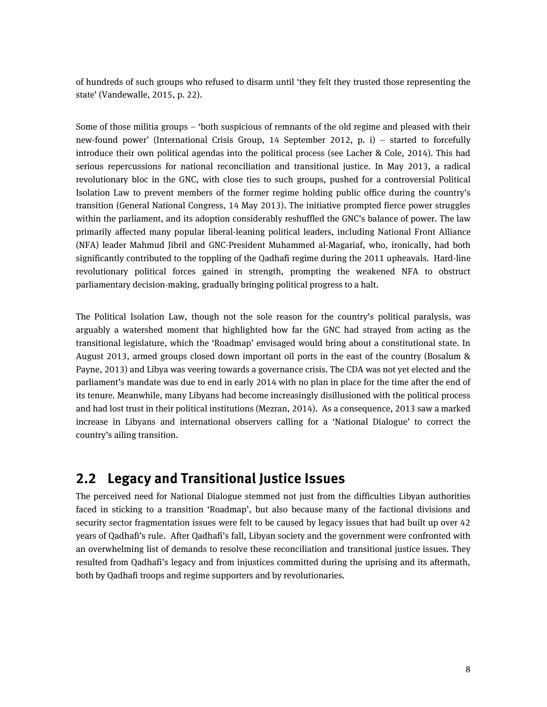of hundreds of such groups who refused to disarm until 'they felt they trusted those representing the state' (Vandewalle, 2015, p. 22).

Some of those militia groups – 'both suspicious of remnants of the old regime and pleased with their new-found power' (International Crisis Group, 14 September 2012, p. i) – started to forcefully introduce their own political agendas into the political process (see Lacher & Cole, 2014). This had serious repercussions for national reconciliation and transitional justice. In May 2013, a radical revolutionary bloc in the GNC, with close ties to such groups, pushed for a controversial Political Isolation Law to prevent members of the former regime holding public office during the country's transition (General National Congress, 14 May 2013). The initiative prompted fierce power struggles within the parliament, and its adoption considerably reshuffled the GNC's balance of power. The law primarily affected many popular liberal-leaning political leaders, including National Front Alliance (NFA) leader Mahmud Jibril and GNC-President Muhammed al-Magariaf, who, ironically, had both significantly contributed to the toppling of the Qadhafi regime during the 2011 upheavals. Hard-line revolutionary political forces gained in strength, prompting the weakened NFA to obstruct parliamentary decision-making, gradually bringing political progress to a halt.

The Political Isolation Law, though not the sole reason for the country's political paralysis, was arguably a watershed moment that highlighted how far the GNC had strayed from acting as the transitional legislature, which the 'Roadmap' envisaged would bring about a constitutional state. In August 2013, armed groups closed down important oil ports in the east of the country (Bosalum & Payne, 2013) and Libya was veering towards a governance crisis. The CDA was not yet elected and the parliament's mandate was due to end in early 2014 with no plan in place for the time after the end of its tenure. Meanwhile, many Libyans had become increasingly disillusioned with the political process and had lost trust in their political institutions (Mezran, 2014). As a consequence, 2013 saw a marked increase in Libyans and international observers calling for a 'National Dialogue' to correct the country's ailing transition.

## <span id="page-7-0"></span>**2.2 Legacy and Transitional Justice Issues**

The perceived need for National Dialogue stemmed not just from the difficulties Libyan authorities faced in sticking to a transition 'Roadmap', but also because many of the factional divisions and security sector fragmentation issues were felt to be caused by legacy issues that had built up over 42 years of Qadhafi's rule. After Qadhafi's fall, Libyan society and the government were confronted with an overwhelming list of demands to resolve these reconciliation and transitional justice issues. They resulted from Qadhafi's legacy and from injustices committed during the uprising and its aftermath, both by Qadhafi troops and regime supporters and by revolutionaries.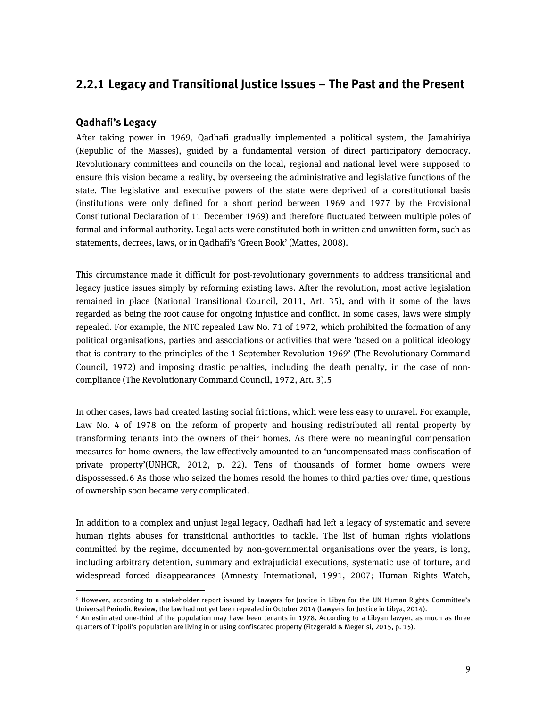### <span id="page-8-0"></span>**2.2.1 Legacy and Transitional Justice Issues – The Past and the Present**

#### **Qadhafi's Legacy**

1

After taking power in 1969, Qadhafi gradually implemented a political system, the Jamahiriya (Republic of the Masses), guided by a fundamental version of direct participatory democracy. Revolutionary committees and councils on the local, regional and national level were supposed to ensure this vision became a reality, by overseeing the administrative and legislative functions of the state. The legislative and executive powers of the state were deprived of a constitutional basis (institutions were only defined for a short period between 1969 and 1977 by the Provisional Constitutional Declaration of 11 December 1969) and therefore fluctuated between multiple poles of formal and informal authority. Legal acts were constituted both in written and unwritten form, such as statements, decrees, laws, or in Qadhafi's 'Green Book' (Mattes, 2008).

This circumstance made it difficult for post-revolutionary governments to address transitional and legacy justice issues simply by reforming existing laws. After the revolution, most active legislation remained in place (National Transitional Council, 2011, Art. 35), and with it some of the laws regarded as being the root cause for ongoing injustice and conflict. In some cases, laws were simply repealed. For example, the NTC repealed Law No. 71 of 1972, which prohibited the formation of any political organisations, parties and associations or activities that were 'based on a political ideology that is contrary to the principles of the 1 September Revolution 1969' (The Revolutionary Command Council, 1972) and imposing drastic penalties, including the death penalty, in the case of noncompliance (The Revolutionary Command Council, 1972, Art. 3).[5](#page-8-1)

In other cases, laws had created lasting social frictions, which were less easy to unravel. For example, Law No. 4 of 1978 on the reform of property and housing redistributed all rental property by transforming tenants into the owners of their homes. As there were no meaningful compensation measures for home owners, the law effectively amounted to an 'uncompensated mass confiscation of private property'(UNHCR, 2012, p. 22). Tens of thousands of former home owners were dispossessed.[6](#page-8-2) As those who seized the homes resold the homes to third parties over time, questions of ownership soon became very complicated.

In addition to a complex and unjust legal legacy, Qadhafi had left a legacy of systematic and severe human rights abuses for transitional authorities to tackle. The list of human rights violations committed by the regime, documented by non-governmental organisations over the years, is long, including arbitrary detention, summary and extrajudicial executions, systematic use of torture, and widespread forced disappearances (Amnesty International, 1991, 2007; Human Rights Watch,

<span id="page-8-1"></span><sup>&</sup>lt;sup>5</sup> However, according to a stakeholder report issued by Lawyers for Justice in Libya for the UN Human Rights Committee's<br>Universal Periodic Review, the law had not vet been repealed in October 2014 (Lawyers for Justice in

<span id="page-8-2"></span><sup>&</sup>lt;sup>6</sup> An estimated one-third of the population may have been tenants in 1978. According to a Libyan lawyer, as much as three quarters of Tripoli's population are living in or using confiscated property (Fitzgerald & Megerisi, 2015, p. 15).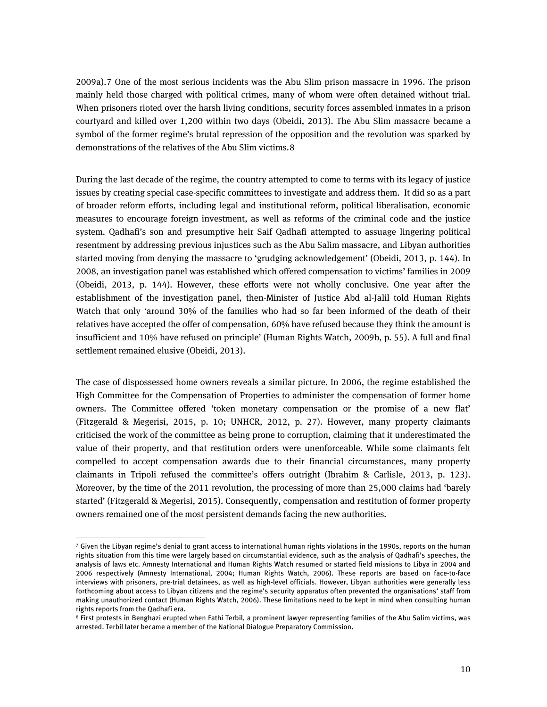2009a).[7](#page-9-0) One of the most serious incidents was the Abu Slim prison massacre in 1996. The prison mainly held those charged with political crimes, many of whom were often detained without trial. When prisoners rioted over the harsh living conditions, security forces assembled inmates in a prison courtyard and killed over 1,200 within two days (Obeidi, 2013). The Abu Slim massacre became a symbol of the former regime's brutal repression of the opposition and the revolution was sparked by demonstrations of the relatives of the Abu Slim victims.[8](#page-9-1)

During the last decade of the regime, the country attempted to come to terms with its legacy of justice issues by creating special case-specific committees to investigate and address them. It did so as a part of broader reform efforts, including legal and institutional reform, political liberalisation, economic measures to encourage foreign investment, as well as reforms of the criminal code and the justice system. Qadhafi's son and presumptive heir Saif Qadhafi attempted to assuage lingering political resentment by addressing previous injustices such as the Abu Salim massacre, and Libyan authorities started moving from denying the massacre to 'grudging acknowledgement' (Obeidi, 2013, p. 144). In 2008, an investigation panel was established which offered compensation to victims' families in 2009 (Obeidi, 2013, p. 144). However, these efforts were not wholly conclusive. One year after the establishment of the investigation panel, then-Minister of Justice Abd al-Jalil told Human Rights Watch that only 'around 30% of the families who had so far been informed of the death of their relatives have accepted the offer of compensation, 60% have refused because they think the amount is insufficient and 10% have refused on principle' (Human Rights Watch, 2009b, p. 55). A full and final settlement remained elusive (Obeidi, 2013).

The case of dispossessed home owners reveals a similar picture. In 2006, the regime established the High Committee for the Compensation of Properties to administer the compensation of former home owners. The Committee offered 'token monetary compensation or the promise of a new flat' (Fitzgerald & Megerisi, 2015, p. 10; UNHCR, 2012, p. 27). However, many property claimants criticised the work of the committee as being prone to corruption, claiming that it underestimated the value of their property, and that restitution orders were unenforceable. While some claimants felt compelled to accept compensation awards due to their financial circumstances, many property claimants in Tripoli refused the committee's offers outright (Ibrahim & Carlisle, 2013, p. 123). Moreover, by the time of the 2011 revolution, the processing of more than 25,000 claims had 'barely started' (Fitzgerald & Megerisi, 2015). Consequently, compensation and restitution of former property owners remained one of the most persistent demands facing the new authorities.

1

<span id="page-9-0"></span><sup>7</sup> Given the Libyan regime's denial to grant access to international human rights violations in the 1990s, reports on the human rights situation from this time were largely based on circumstantial evidence, such as the analysis of Qadhafi's speeches, the analysis of laws etc. Amnesty International and Human Rights Watch resumed or started field missions to Libya in 2004 and 2006 respectively (Amnesty International, 2004; Human Rights Watch, 2006). These reports are based on face-to-face interviews with prisoners, pre-trial detainees, as well as high-level officials. However, Libyan authorities were generally less forthcoming about access to Libyan citizens and the regime's security apparatus often prevented the organisations' staff from making unauthorized contact (Human Rights Watch, 2006). These limitations need to be kept in mind when consulting human rights reports from the Qadhafi era.

<span id="page-9-1"></span><sup>8</sup> First protests in Benghazi erupted when Fathi Terbil, a prominent lawyer representing families of the Abu Salim victims, was arrested. Terbil later became a member of the National Dialogue Preparatory Commission.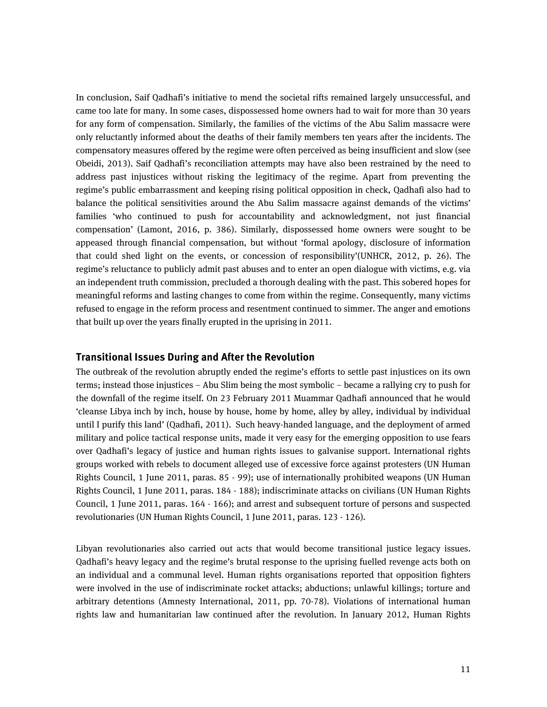In conclusion, Saif Qadhafi's initiative to mend the societal rifts remained largely unsuccessful, and came too late for many. In some cases, dispossessed home owners had to wait for more than 30 years for any form of compensation. Similarly, the families of the victims of the Abu Salim massacre were only reluctantly informed about the deaths of their family members ten years after the incidents. The compensatory measures offered by the regime were often perceived as being insufficient and slow (see Obeidi, 2013). Saif Qadhafi's reconciliation attempts may have also been restrained by the need to address past injustices without risking the legitimacy of the regime. Apart from preventing the regime's public embarrassment and keeping rising political opposition in check, Qadhafi also had to balance the political sensitivities around the Abu Salim massacre against demands of the victims' families 'who continued to push for accountability and acknowledgment, not just financial compensation' (Lamont, 2016, p. 386). Similarly, dispossessed home owners were sought to be appeased through financial compensation, but without 'formal apology, disclosure of information that could shed light on the events, or concession of responsibility'(UNHCR, 2012, p. 26). The regime's reluctance to publicly admit past abuses and to enter an open dialogue with victims, e.g. via an independent truth commission, precluded a thorough dealing with the past. This sobered hopes for meaningful reforms and lasting changes to come from within the regime. Consequently, many victims refused to engage in the reform process and resentment continued to simmer. The anger and emotions that built up over the years finally erupted in the uprising in 2011.

#### **Transitional Issues During and After the Revolution**

The outbreak of the revolution abruptly ended the regime's efforts to settle past injustices on its own terms; instead those injustices – Abu Slim being the most symbolic – became a rallying cry to push for the downfall of the regime itself. On 23 February 2011 Muammar Qadhafi announced that he would 'cleanse Libya inch by inch, house by house, home by home, alley by alley, individual by individual until I purify this land' (Qadhafi, 2011). Such heavy-handed language, and the deployment of armed military and police tactical response units, made it very easy for the emerging opposition to use fears over Qadhafi's legacy of justice and human rights issues to galvanise support. International rights groups worked with rebels to document alleged use of excessive force against protesters (UN Human Rights Council, 1 June 2011, paras. 85 - 99); use of internationally prohibited weapons (UN Human Rights Council, 1 June 2011, paras. 184 - 188); indiscriminate attacks on civilians (UN Human Rights Council, 1 June 2011, paras. 164 - 166); and arrest and subsequent torture of persons and suspected revolutionaries (UN Human Rights Council, 1 June 2011, paras. 123 - 126).

Libyan revolutionaries also carried out acts that would become transitional justice legacy issues. Qadhafi's heavy legacy and the regime's brutal response to the uprising fuelled revenge acts both on an individual and a communal level. Human rights organisations reported that opposition fighters were involved in the use of indiscriminate rocket attacks; abductions; unlawful killings; torture and arbitrary detentions (Amnesty International, 2011, pp. 70-78). Violations of international human rights law and humanitarian law continued after the revolution. In January 2012, Human Rights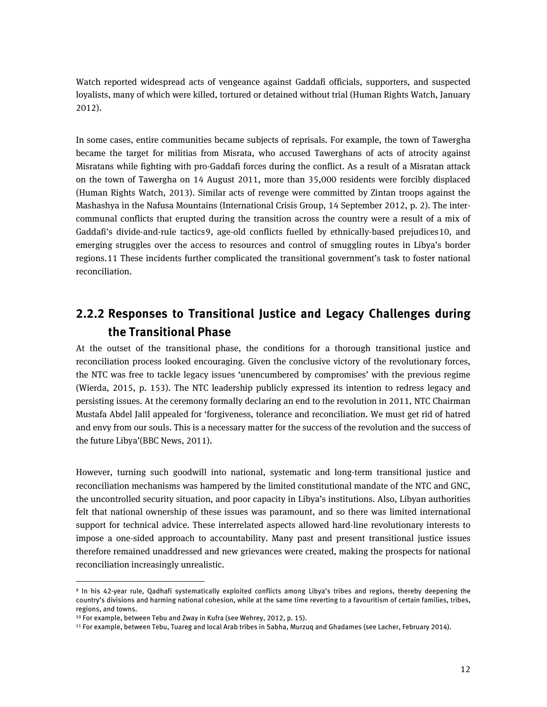Watch reported widespread acts of vengeance against Gaddafi officials, supporters, and suspected loyalists, many of which were killed, tortured or detained without trial (Human Rights Watch, January 2012).

In some cases, entire communities became subjects of reprisals. For example, the town of Tawergha became the target for militias from Misrata, who accused Tawerghans of acts of atrocity against Misratans while fighting with pro-Gaddafi forces during the conflict. As a result of a Misratan attack on the town of Tawergha on 14 August 2011, more than 35,000 residents were forcibly displaced (Human Rights Watch, 2013). Similar acts of revenge were committed by Zintan troops against the Mashashya in the Nafusa Mountains (International Crisis Group, 14 September 2012, p. 2). The intercommunal conflicts that erupted during the transition across the country were a result of a mix of Gaddafi's divide-and-rule tactics[9,](#page-11-1) age-old conflicts fuelled by ethnically-based prejudices[10,](#page-11-2) and emerging struggles over the access to resources and control of smuggling routes in Libya's border regions.[11](#page-11-3) These incidents further complicated the transitional government's task to foster national reconciliation.

## <span id="page-11-0"></span>**2.2.2 Responses to Transitional Justice and Legacy Challenges during the Transitional Phase**

At the outset of the transitional phase, the conditions for a thorough transitional justice and reconciliation process looked encouraging. Given the conclusive victory of the revolutionary forces, the NTC was free to tackle legacy issues 'unencumbered by compromises' with the previous regime (Wierda, 2015, p. 153). The NTC leadership publicly expressed its intention to redress legacy and persisting issues. At the ceremony formally declaring an end to the revolution in 2011, NTC Chairman Mustafa Abdel Jalil appealed for 'forgiveness, tolerance and reconciliation. We must get rid of hatred and envy from our souls. This is a necessary matter for the success of the revolution and the success of the future Libya'(BBC News, 2011).

However, turning such goodwill into national, systematic and long-term transitional justice and reconciliation mechanisms was hampered by the limited constitutional mandate of the NTC and GNC, the uncontrolled security situation, and poor capacity in Libya's institutions. Also, Libyan authorities felt that national ownership of these issues was paramount, and so there was limited international support for technical advice. These interrelated aspects allowed hard-line revolutionary interests to impose a one-sided approach to accountability. Many past and present transitional justice issues therefore remained unaddressed and new grievances were created, making the prospects for national reconciliation increasingly unrealistic.

**.** 

<span id="page-11-1"></span><sup>9</sup> In his 42-year rule, Qadhafi systematically exploited conflicts among Libya's tribes and regions, thereby deepening the country's divisions and harming national cohesion, while at the same time reverting to a favouritism of certain families, tribes, regions, and towns.

<span id="page-11-3"></span><span id="page-11-2"></span><sup>&</sup>lt;sup>10</sup> For example, between Tebu and Zway in Kufra (see Wehrey, 2012, p. 15).<br><sup>11</sup> For example, between Tebu, Tuareg and local Arab tribes in Sabha, Murzuq and Ghadames (see Lacher, February 2014).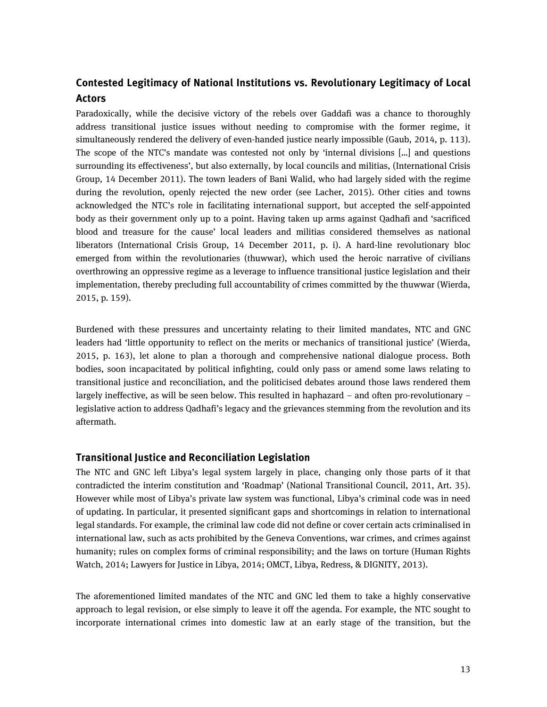### **Contested Legitimacy of National Institutions vs. Revolutionary Legitimacy of Local Actors**

Paradoxically, while the decisive victory of the rebels over Gaddafi was a chance to thoroughly address transitional justice issues without needing to compromise with the former regime, it simultaneously rendered the delivery of even-handed justice nearly impossible (Gaub, 2014, p. 113). The scope of the NTC's mandate was contested not only by 'internal divisions […] and questions surrounding its effectiveness', but also externally, by local councils and militias, (International Crisis Group, 14 December 2011). The town leaders of Bani Walid, who had largely sided with the regime during the revolution, openly rejected the new order (see Lacher, 2015). Other cities and towns acknowledged the NTC's role in facilitating international support, but accepted the self-appointed body as their government only up to a point. Having taken up arms against Qadhafi and 'sacrificed blood and treasure for the cause' local leaders and militias considered themselves as national liberators (International Crisis Group, 14 December 2011, p. i). A hard-line revolutionary bloc emerged from within the revolutionaries (thuwwar), which used the heroic narrative of civilians overthrowing an oppressive regime as a leverage to influence transitional justice legislation and their implementation, thereby precluding full accountability of crimes committed by the thuwwar (Wierda, 2015, p. 159).

Burdened with these pressures and uncertainty relating to their limited mandates, NTC and GNC leaders had 'little opportunity to reflect on the merits or mechanics of transitional justice' (Wierda, 2015, p. 163), let alone to plan a thorough and comprehensive national dialogue process. Both bodies, soon incapacitated by political infighting, could only pass or amend some laws relating to transitional justice and reconciliation, and the politicised debates around those laws rendered them largely ineffective, as will be seen below. This resulted in haphazard – and often pro-revolutionary – legislative action to address Qadhafi's legacy and the grievances stemming from the revolution and its aftermath.

#### **Transitional Justice and Reconciliation Legislation**

The NTC and GNC left Libya's legal system largely in place, changing only those parts of it that contradicted the interim constitution and 'Roadmap' (National Transitional Council, 2011, Art. 35). However while most of Libya's private law system was functional, Libya's criminal code was in need of updating. In particular, it presented significant gaps and shortcomings in relation to international legal standards. For example, the criminal law code did not define or cover certain acts criminalised in international law, such as acts prohibited by the Geneva Conventions, war crimes, and crimes against humanity; rules on complex forms of criminal responsibility; and the laws on torture (Human Rights Watch, 2014; Lawyers for Justice in Libya, 2014; OMCT, Libya, Redress, & DIGNITY, 2013).

The aforementioned limited mandates of the NTC and GNC led them to take a highly conservative approach to legal revision, or else simply to leave it off the agenda. For example, the NTC sought to incorporate international crimes into domestic law at an early stage of the transition, but the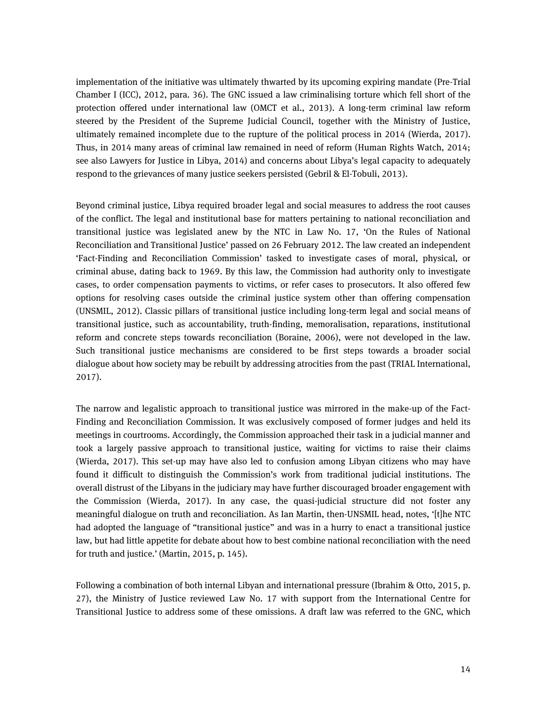implementation of the initiative was ultimately thwarted by its upcoming expiring mandate (Pre-Trial Chamber I (ICC), 2012, para. 36). The GNC issued a law criminalising torture which fell short of the protection offered under international law (OMCT et al., 2013). A long-term criminal law reform steered by the President of the Supreme Judicial Council, together with the Ministry of Justice, ultimately remained incomplete due to the rupture of the political process in 2014 (Wierda, 2017). Thus, in 2014 many areas of criminal law remained in need of reform (Human Rights Watch, 2014; see also Lawyers for Justice in Libya, 2014) and concerns about Libya's legal capacity to adequately respond to the grievances of many justice seekers persisted (Gebril & El-Tobuli, 2013).

Beyond criminal justice, Libya required broader legal and social measures to address the root causes of the conflict. The legal and institutional base for matters pertaining to national reconciliation and transitional justice was legislated anew by the NTC in Law No. 17, 'On the Rules of National Reconciliation and Transitional Justice' passed on 26 February 2012. The law created an independent 'Fact-Finding and Reconciliation Commission' tasked to investigate cases of moral, physical, or criminal abuse, dating back to 1969. By this law, the Commission had authority only to investigate cases, to order compensation payments to victims, or refer cases to prosecutors. It also offered few options for resolving cases outside the criminal justice system other than offering compensation (UNSMIL, 2012). Classic pillars of transitional justice including long-term legal and social means of transitional justice, such as accountability, truth-finding, memoralisation, reparations, institutional reform and concrete steps towards reconciliation (Boraine, 2006), were not developed in the law. Such transitional justice mechanisms are considered to be first steps towards a broader social dialogue about how society may be rebuilt by addressing atrocities from the past (TRIAL International, 2017).

The narrow and legalistic approach to transitional justice was mirrored in the make-up of the Fact-Finding and Reconciliation Commission. It was exclusively composed of former judges and held its meetings in courtrooms. Accordingly, the Commission approached their task in a judicial manner and took a largely passive approach to transitional justice, waiting for victims to raise their claims (Wierda, 2017). This set-up may have also led to confusion among Libyan citizens who may have found it difficult to distinguish the Commission's work from traditional judicial institutions. The overall distrust of the Libyans in the judiciary may have further discouraged broader engagement with the Commission (Wierda, 2017). In any case, the quasi-judicial structure did not foster any meaningful dialogue on truth and reconciliation. As Ian Martin, then-UNSMIL head, notes, '[t]he NTC had adopted the language of "transitional justice" and was in a hurry to enact a transitional justice law, but had little appetite for debate about how to best combine national reconciliation with the need for truth and justice.' (Martin, 2015, p. 145).

Following a combination of both internal Libyan and international pressure (Ibrahim & Otto, 2015, p. 27), the Ministry of Justice reviewed Law No. 17 with support from the International Centre for Transitional Justice to address some of these omissions. A draft law was referred to the GNC, which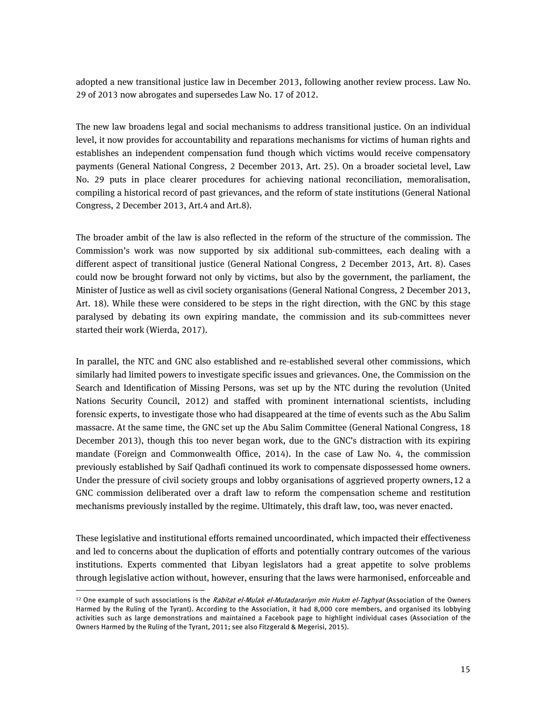adopted a new transitional justice law in December 2013, following another review process. Law No. 29 of 2013 now abrogates and supersedes Law No. 17 of 2012.

The new law broadens legal and social mechanisms to address transitional justice. On an individual level, it now provides for accountability and reparations mechanisms for victims of human rights and establishes an independent compensation fund though which victims would receive compensatory payments (General National Congress, 2 December 2013, Art. 25). On a broader societal level, Law No. 29 puts in place clearer procedures for achieving national reconciliation, memoralisation, compiling a historical record of past grievances, and the reform of state institutions (General National Congress, 2 December 2013, Art.4 and Art.8).

The broader ambit of the law is also reflected in the reform of the structure of the commission. The Commission's work was now supported by six additional sub-committees, each dealing with a different aspect of transitional justice (General National Congress, 2 December 2013, Art. 8). Cases could now be brought forward not only by victims, but also by the government, the parliament, the Minister of Justice as well as civil society organisations (General National Congress, 2 December 2013, Art. 18). While these were considered to be steps in the right direction, with the GNC by this stage paralysed by debating its own expiring mandate, the commission and its sub-committees never started their work (Wierda, 2017).

In parallel, the NTC and GNC also established and re-established several other commissions, which similarly had limited powers to investigate specific issues and grievances. One, the Commission on the Search and Identification of Missing Persons, was set up by the NTC during the revolution (United Nations Security Council, 2012) and staffed with prominent international scientists, including forensic experts, to investigate those who had disappeared at the time of events such as the Abu Salim massacre. At the same time, the GNC set up the Abu Salim Committee (General National Congress, 18 December 2013), though this too never began work, due to the GNC's distraction with its expiring mandate (Foreign and Commonwealth Office, 2014). In the case of Law No. 4, the commission previously established by Saif Qadhafi continued its work to compensate dispossessed home owners. Under the pressure of civil society groups and lobby organisations of aggrieved property owners,[12](#page-14-0) a GNC commission deliberated over a draft law to reform the compensation scheme and restitution mechanisms previously installed by the regime. Ultimately, this draft law, too, was never enacted.

These legislative and institutional efforts remained uncoordinated, which impacted their effectiveness and led to concerns about the duplication of efforts and potentially contrary outcomes of the various institutions. Experts commented that Libyan legislators had a great appetite to solve problems through legislative action without, however, ensuring that the laws were harmonised, enforceable and

1

<span id="page-14-0"></span><sup>&</sup>lt;sup>12</sup> One example of such associations is the Rabitat el-Mulak el-Mutadarariyn min Hukm el-Taghyat (Association of the Owners Harmed by the Ruling of the Tyrant). According to the Association, it had 8,000 core members, and organised its lobbying activities such as large demonstrations and maintained a Facebook page to highlight individual cases (Association of the Owners Harmed by the Ruling of the Tyrant, 2011; see also Fitzgerald & Megerisi, 2015).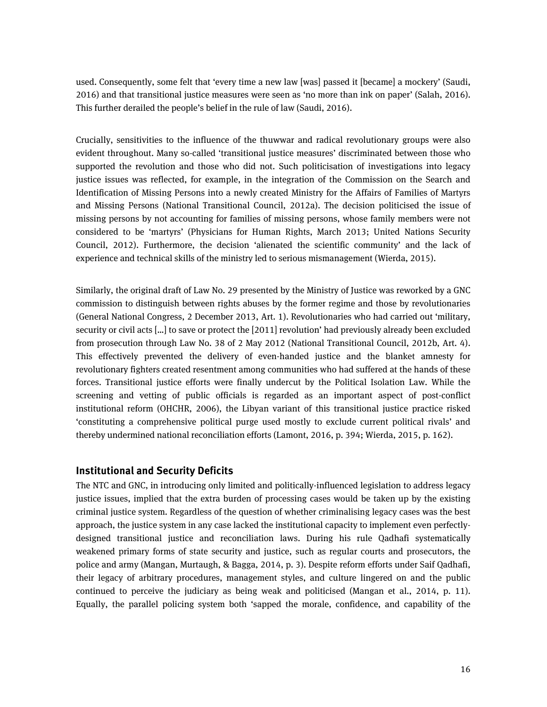used. Consequently, some felt that 'every time a new law [was] passed it [became] a mockery' (Saudi, 2016) and that transitional justice measures were seen as 'no more than ink on paper' (Salah, 2016). This further derailed the people's belief in the rule of law (Saudi, 2016).

Crucially, sensitivities to the influence of the thuwwar and radical revolutionary groups were also evident throughout. Many so-called 'transitional justice measures' discriminated between those who supported the revolution and those who did not. Such politicisation of investigations into legacy justice issues was reflected, for example, in the integration of the Commission on the Search and Identification of Missing Persons into a newly created Ministry for the Affairs of Families of Martyrs and Missing Persons (National Transitional Council, 2012a). The decision politicised the issue of missing persons by not accounting for families of missing persons, whose family members were not considered to be 'martyrs' (Physicians for Human Rights, March 2013; United Nations Security Council, 2012). Furthermore, the decision 'alienated the scientific community' and the lack of experience and technical skills of the ministry led to serious mismanagement (Wierda, 2015).

Similarly, the original draft of Law No. 29 presented by the Ministry of Justice was reworked by a GNC commission to distinguish between rights abuses by the former regime and those by revolutionaries (General National Congress, 2 December 2013, Art. 1). Revolutionaries who had carried out 'military, security or civil acts […] to save or protect the [2011] revolution' had previously already been excluded from prosecution through Law No. 38 of 2 May 2012 (National Transitional Council, 2012b, Art. 4). This effectively prevented the delivery of even-handed justice and the blanket amnesty for revolutionary fighters created resentment among communities who had suffered at the hands of these forces. Transitional justice efforts were finally undercut by the Political Isolation Law. While the screening and vetting of public officials is regarded as an important aspect of post-conflict institutional reform (OHCHR, 2006), the Libyan variant of this transitional justice practice risked 'constituting a comprehensive political purge used mostly to exclude current political rivals' and thereby undermined national reconciliation efforts (Lamont, 2016, p. 394; Wierda, 2015, p. 162).

#### **Institutional and Security Deficits**

The NTC and GNC, in introducing only limited and politically-influenced legislation to address legacy justice issues, implied that the extra burden of processing cases would be taken up by the existing criminal justice system. Regardless of the question of whether criminalising legacy cases was the best approach, the justice system in any case lacked the institutional capacity to implement even perfectlydesigned transitional justice and reconciliation laws. During his rule Qadhafi systematically weakened primary forms of state security and justice, such as regular courts and prosecutors, the police and army (Mangan, Murtaugh, & Bagga, 2014, p. 3). Despite reform efforts under Saif Qadhafi, their legacy of arbitrary procedures, management styles, and culture lingered on and the public continued to perceive the judiciary as being weak and politicised (Mangan et al., 2014, p. 11). Equally, the parallel policing system both 'sapped the morale, confidence, and capability of the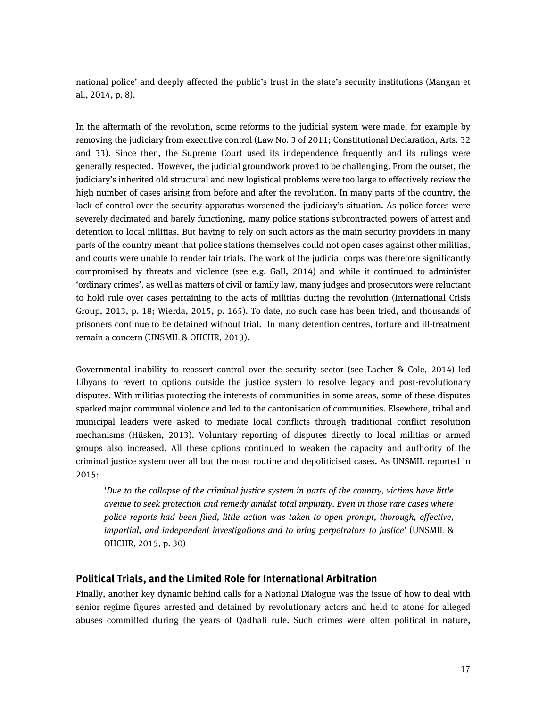national police' and deeply affected the public's trust in the state's security institutions (Mangan et al., 2014, p. 8).

In the aftermath of the revolution, some reforms to the judicial system were made, for example by removing the judiciary from executive control (Law No. 3 of 2011; Constitutional Declaration, Arts. 32 and 33). Since then, the Supreme Court used its independence frequently and its rulings were generally respected. However, the judicial groundwork proved to be challenging. From the outset, the judiciary's inherited old structural and new logistical problems were too large to effectively review the high number of cases arising from before and after the revolution. In many parts of the country, the lack of control over the security apparatus worsened the judiciary's situation. As police forces were severely decimated and barely functioning, many police stations subcontracted powers of arrest and detention to local militias. But having to rely on such actors as the main security providers in many parts of the country meant that police stations themselves could not open cases against other militias, and courts were unable to render fair trials. The work of the judicial corps was therefore significantly compromised by threats and violence (see e.g. Gall, 2014) and while it continued to administer 'ordinary crimes', as well as matters of civil or family law, many judges and prosecutors were reluctant to hold rule over cases pertaining to the acts of militias during the revolution (International Crisis Group, 2013, p. 18; Wierda, 2015, p. 165). To date, no such case has been tried, and thousands of prisoners continue to be detained without trial. In many detention centres, torture and ill-treatment remain a concern (UNSMIL & OHCHR, 2013).

Governmental inability to reassert control over the security sector (see Lacher & Cole, 2014) led Libyans to revert to options outside the justice system to resolve legacy and post-revolutionary disputes. With militias protecting the interests of communities in some areas, some of these disputes sparked major communal violence and led to the cantonisation of communities. Elsewhere, tribal and municipal leaders were asked to mediate local conflicts through traditional conflict resolution mechanisms (Hüsken, 2013). Voluntary reporting of disputes directly to local militias or armed groups also increased. All these options continued to weaken the capacity and authority of the criminal justice system over all but the most routine and depoliticised cases. As UNSMIL reported in 2015:

'*Due to the collapse of the criminal justice system in parts of the country, victims have little avenue to seek protection and remedy amidst total impunity. Even in those rare cases where police reports had been filed, little action was taken to open prompt, thorough, effective, impartial, and independent investigations and to bring perpetrators to justice*' (UNSMIL & OHCHR, 2015, p. 30)

#### **Political Trials, and the Limited Role for International Arbitration**

Finally, another key dynamic behind calls for a National Dialogue was the issue of how to deal with senior regime figures arrested and detained by revolutionary actors and held to atone for alleged abuses committed during the years of Qadhafi rule. Such crimes were often political in nature,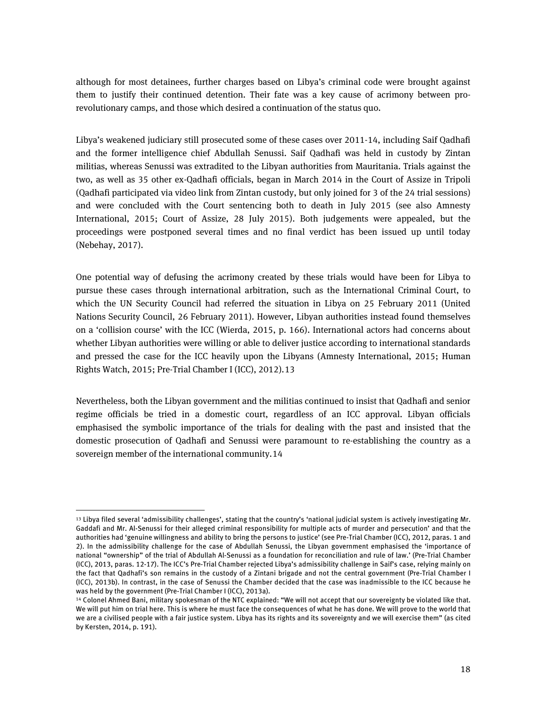although for most detainees, further charges based on Libya's criminal code were brought against them to justify their continued detention. Their fate was a key cause of acrimony between prorevolutionary camps, and those which desired a continuation of the status quo.

Libya's weakened judiciary still prosecuted some of these cases over 2011-14, including Saif Qadhafi and the former intelligence chief Abdullah Senussi. Saif Qadhafi was held in custody by Zintan militias, whereas Senussi was extradited to the Libyan authorities from Mauritania. Trials against the two, as well as 35 other ex-Qadhafi officials, began in March 2014 in the Court of Assize in Tripoli (Qadhafi participated via video link from Zintan custody, but only joined for 3 of the 24 trial sessions) and were concluded with the Court sentencing both to death in July 2015 (see also Amnesty International, 2015; Court of Assize, 28 July 2015). Both judgements were appealed, but the proceedings were postponed several times and no final verdict has been issued up until today (Nebehay, 2017).

One potential way of defusing the acrimony created by these trials would have been for Libya to pursue these cases through international arbitration, such as the International Criminal Court, to which the UN Security Council had referred the situation in Libya on 25 February 2011 (United Nations Security Council, 26 February 2011). However, Libyan authorities instead found themselves on a 'collision course' with the ICC (Wierda, 2015, p. 166). International actors had concerns about whether Libyan authorities were willing or able to deliver justice according to international standards and pressed the case for the ICC heavily upon the Libyans (Amnesty International, 2015; Human Rights Watch, 2015; Pre-Trial Chamber I (ICC), 2012).[13](#page-17-0)

Nevertheless, both the Libyan government and the militias continued to insist that Qadhafi and senior regime officials be tried in a domestic court, regardless of an ICC approval. Libyan officials emphasised the symbolic importance of the trials for dealing with the past and insisted that the domestic prosecution of Qadhafi and Senussi were paramount to re-establishing the country as a sovereign member of the international community.[14](#page-17-1)

1

<span id="page-17-0"></span><sup>13</sup> Libya filed several 'admissibility challenges', stating that the country's 'national judicial system is actively investigating Mr. Gaddafi and Mr. Al-Senussi for their alleged criminal responsibility for multiple acts of murder and persecution' and that the authorities had 'genuine willingness and ability to bring the persons to justice' (see Pre-Trial Chamber (ICC), 2012, paras. 1 and 2). In the admissibility challenge for the case of Abdullah Senussi, the Libyan government emphasised the 'importance of national "ownership" of the trial of Abdullah Al-Senussi as a foundation for reconciliation and rule of law.' (Pre-Trial Chamber (ICC), 2013, paras. 12-17). The ICC's Pre-Trial Chamber rejected Libya's admissibility challenge in Saif's case, relying mainly on the fact that Qadhafi's son remains in the custody of a Zintani brigade and not the central government (Pre-Trial Chamber I (ICC), 2013b). In contrast, in the case of Senussi the Chamber decided that the case was inadmissible to the ICC because he was held by the government (Pre-Trial Chamber I (ICC), 2013a).

<span id="page-17-1"></span><sup>14</sup> Colonel Ahmed Bani, military spokesman of the NTC explained: "We will not accept that our sovereignty be violated like that. We will put him on trial here. This is where he must face the consequences of what he has done. We will prove to the world that we are a civilised people with a fair justice system. Libya has its rights and its sovereignty and we will exercise them" (as cited by Kersten, 2014, p. 191).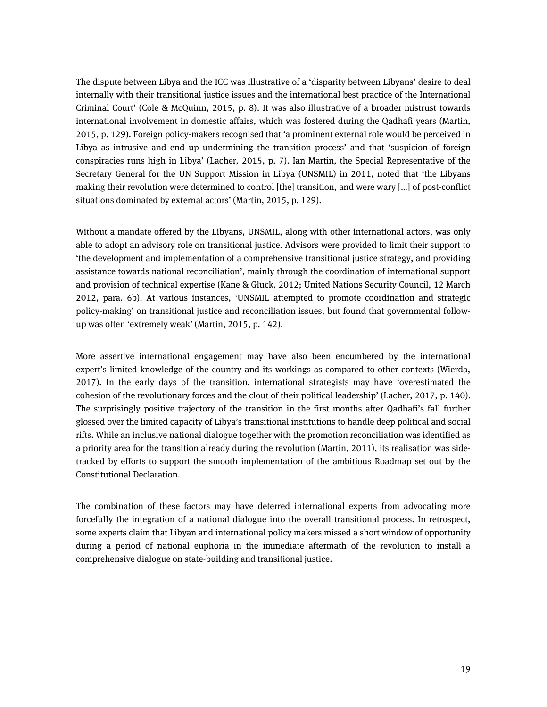The dispute between Libya and the ICC was illustrative of a 'disparity between Libyans' desire to deal internally with their transitional justice issues and the international best practice of the International Criminal Court' (Cole & McQuinn, 2015, p. 8). It was also illustrative of a broader mistrust towards international involvement in domestic affairs, which was fostered during the Qadhafi years (Martin, 2015, p. 129). Foreign policy-makers recognised that 'a prominent external role would be perceived in Libya as intrusive and end up undermining the transition process' and that 'suspicion of foreign conspiracies runs high in Libya' (Lacher, 2015, p. 7). Ian Martin, the Special Representative of the Secretary General for the UN Support Mission in Libya (UNSMIL) in 2011, noted that 'the Libyans making their revolution were determined to control [the] transition, and were wary […] of post-conflict situations dominated by external actors' (Martin, 2015, p. 129).

Without a mandate offered by the Libyans, UNSMIL, along with other international actors, was only able to adopt an advisory role on transitional justice. Advisors were provided to limit their support to 'the development and implementation of a comprehensive transitional justice strategy, and providing assistance towards national reconciliation', mainly through the coordination of international support and provision of technical expertise (Kane & Gluck, 2012; United Nations Security Council, 12 March 2012, para. 6b). At various instances, 'UNSMIL attempted to promote coordination and strategic policy-making' on transitional justice and reconciliation issues, but found that governmental followup was often 'extremely weak' (Martin, 2015, p. 142).

More assertive international engagement may have also been encumbered by the international expert's limited knowledge of the country and its workings as compared to other contexts (Wierda, 2017). In the early days of the transition, international strategists may have 'overestimated the cohesion of the revolutionary forces and the clout of their political leadership' (Lacher, 2017, p. 140). The surprisingly positive trajectory of the transition in the first months after Qadhafi's fall further glossed over the limited capacity of Libya's transitional institutions to handle deep political and social rifts. While an inclusive national dialogue together with the promotion reconciliation was identified as a priority area for the transition already during the revolution (Martin, 2011), its realisation was sidetracked by efforts to support the smooth implementation of the ambitious Roadmap set out by the Constitutional Declaration.

The combination of these factors may have deterred international experts from advocating more forcefully the integration of a national dialogue into the overall transitional process. In retrospect, some experts claim that Libyan and international policy makers missed a short window of opportunity during a period of national euphoria in the immediate aftermath of the revolution to install a comprehensive dialogue on state-building and transitional justice.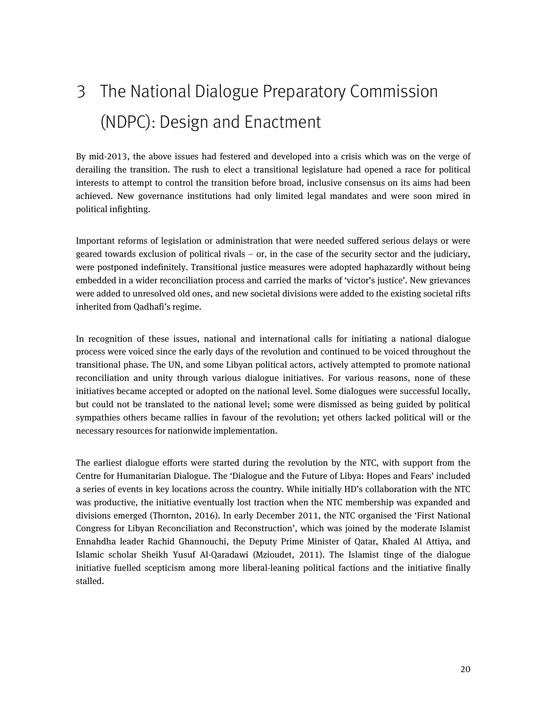# <span id="page-19-0"></span>3 The National Dialogue Preparatory Commission (NDPC): Design and Enactment

By mid-2013, the above issues had festered and developed into a crisis which was on the verge of derailing the transition. The rush to elect a transitional legislature had opened a race for political interests to attempt to control the transition before broad, inclusive consensus on its aims had been achieved. New governance institutions had only limited legal mandates and were soon mired in political infighting.

Important reforms of legislation or administration that were needed suffered serious delays or were geared towards exclusion of political rivals – or, in the case of the security sector and the judiciary, were postponed indefinitely. Transitional justice measures were adopted haphazardly without being embedded in a wider reconciliation process and carried the marks of 'victor's justice'. New grievances were added to unresolved old ones, and new societal divisions were added to the existing societal rifts inherited from Qadhafi's regime.

In recognition of these issues, national and international calls for initiating a national dialogue process were voiced since the early days of the revolution and continued to be voiced throughout the transitional phase. The UN, and some Libyan political actors, actively attempted to promote national reconciliation and unity through various dialogue initiatives. For various reasons, none of these initiatives became accepted or adopted on the national level. Some dialogues were successful locally, but could not be translated to the national level; some were dismissed as being guided by political sympathies others became rallies in favour of the revolution; yet others lacked political will or the necessary resources for nationwide implementation.

The earliest dialogue efforts were started during the revolution by the NTC, with support from the Centre for Humanitarian Dialogue. The 'Dialogue and the Future of Libya: Hopes and Fears' included a series of events in key locations across the country. While initially HD's collaboration with the NTC was productive, the initiative eventually lost traction when the NTC membership was expanded and divisions emerged (Thornton, 2016). In early December 2011, the NTC organised the 'First National Congress for Libyan Reconciliation and Reconstruction', which was joined by the moderate Islamist Ennahdha leader Rachid Ghannouchi, the Deputy Prime Minister of Qatar, Khaled Al Attiya, and Islamic scholar Sheikh Yusuf Al-Qaradawi (Mzioudet, 2011). The Islamist tinge of the dialogue initiative fuelled scepticism among more liberal-leaning political factions and the initiative finally stalled.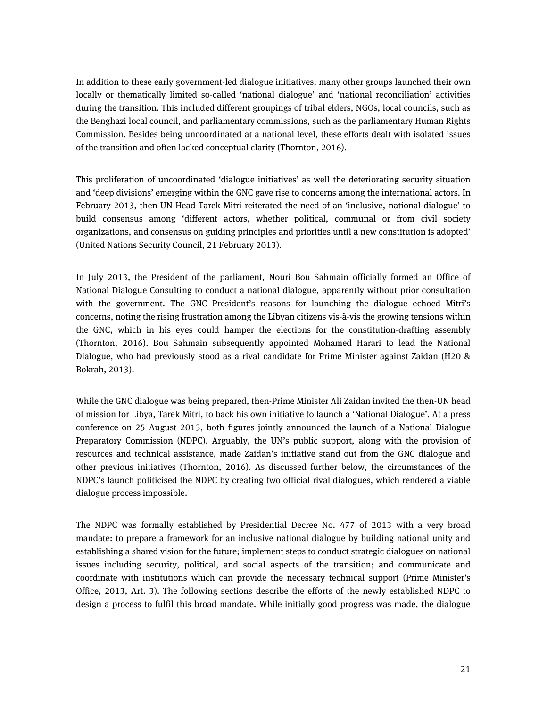In addition to these early government-led dialogue initiatives, many other groups launched their own locally or thematically limited so-called 'national dialogue' and 'national reconciliation' activities during the transition. This included different groupings of tribal elders, NGOs, local councils, such as the Benghazi local council, and parliamentary commissions, such as the parliamentary Human Rights Commission. Besides being uncoordinated at a national level, these efforts dealt with isolated issues of the transition and often lacked conceptual clarity (Thornton, 2016).

This proliferation of uncoordinated 'dialogue initiatives' as well the deteriorating security situation and 'deep divisions' emerging within the GNC gave rise to concerns among the international actors. In February 2013, then-UN Head Tarek Mitri reiterated the need of an 'inclusive, national dialogue' to build consensus among 'different actors, whether political, communal or from civil society organizations, and consensus on guiding principles and priorities until a new constitution is adopted' (United Nations Security Council, 21 February 2013).

In July 2013, the President of the parliament, Nouri Bou Sahmain officially formed an Office of National Dialogue Consulting to conduct a national dialogue, apparently without prior consultation with the government. The GNC President's reasons for launching the dialogue echoed Mitri's concerns, noting the rising frustration among the Libyan citizens vis-à-vis the growing tensions within the GNC, which in his eyes could hamper the elections for the constitution-drafting assembly (Thornton, 2016). Bou Sahmain subsequently appointed Mohamed Harari to lead the National Dialogue, who had previously stood as a rival candidate for Prime Minister against Zaidan (H20 & Bokrah, 2013).

While the GNC dialogue was being prepared, then-Prime Minister Ali Zaidan invited the then-UN head of mission for Libya, Tarek Mitri, to back his own initiative to launch a 'National Dialogue'. At a press conference on 25 August 2013, both figures jointly announced the launch of a National Dialogue Preparatory Commission (NDPC). Arguably, the UN's public support, along with the provision of resources and technical assistance, made Zaidan's initiative stand out from the GNC dialogue and other previous initiatives (Thornton, 2016). As discussed further below, the circumstances of the NDPC's launch politicised the NDPC by creating two official rival dialogues, which rendered a viable dialogue process impossible.

The NDPC was formally established by Presidential Decree No. 477 of 2013 with a very broad mandate: to prepare a framework for an inclusive national dialogue by building national unity and establishing a shared vision for the future; implement steps to conduct strategic dialogues on national issues including security, political, and social aspects of the transition; and communicate and coordinate with institutions which can provide the necessary technical support (Prime Minister's Office, 2013, Art. 3). The following sections describe the efforts of the newly established NDPC to design a process to fulfil this broad mandate. While initially good progress was made, the dialogue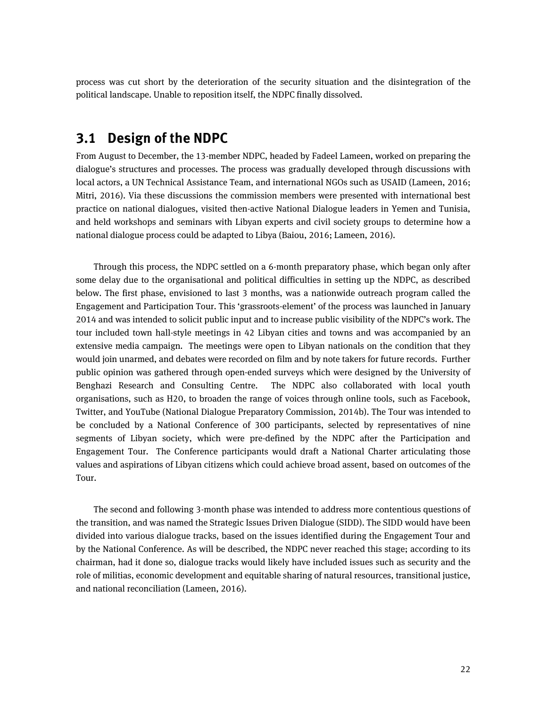<span id="page-21-0"></span>process was cut short by the deterioration of the security situation and the disintegration of the political landscape. Unable to reposition itself, the NDPC finally dissolved.

### **3.1 Design of the NDPC**

From August to December, the 13-member NDPC, headed by Fadeel Lameen, worked on preparing the dialogue's structures and processes. The process was gradually developed through discussions with local actors, a UN Technical Assistance Team, and international NGOs such as USAID (Lameen, 2016; Mitri, 2016). Via these discussions the commission members were presented with international best practice on national dialogues, visited then-active National Dialogue leaders in Yemen and Tunisia, and held workshops and seminars with Libyan experts and civil society groups to determine how a national dialogue process could be adapted to Libya (Baiou, 2016; Lameen, 2016).

Through this process, the NDPC settled on a 6-month preparatory phase, which began only after some delay due to the organisational and political difficulties in setting up the NDPC, as described below. The first phase, envisioned to last 3 months, was a nationwide outreach program called the Engagement and Participation Tour. This 'grassroots-element' of the process was launched in January 2014 and was intended to solicit public input and to increase public visibility of the NDPC's work. The tour included town hall-style meetings in 42 Libyan cities and towns and was accompanied by an extensive media campaign. The meetings were open to Libyan nationals on the condition that they would join unarmed, and debates were recorded on film and by note takers for future records. Further public opinion was gathered through open-ended surveys which were designed by the University of Benghazi Research and Consulting Centre. The NDPC also collaborated with local youth organisations, such as H20, to broaden the range of voices through online tools, such as Facebook, Twitter, and YouTube (National Dialogue Preparatory Commission, 2014b). The Tour was intended to be concluded by a National Conference of 300 participants, selected by representatives of nine segments of Libyan society, which were pre-defined by the NDPC after the Participation and Engagement Tour. The Conference participants would draft a National Charter articulating those values and aspirations of Libyan citizens which could achieve broad assent, based on outcomes of the Tour.

The second and following 3-month phase was intended to address more contentious questions of the transition, and was named the Strategic Issues Driven Dialogue (SIDD). The SIDD would have been divided into various dialogue tracks, based on the issues identified during the Engagement Tour and by the National Conference. As will be described, the NDPC never reached this stage; according to its chairman, had it done so, dialogue tracks would likely have included issues such as security and the role of militias, economic development and equitable sharing of natural resources, transitional justice, and national reconciliation (Lameen, 2016).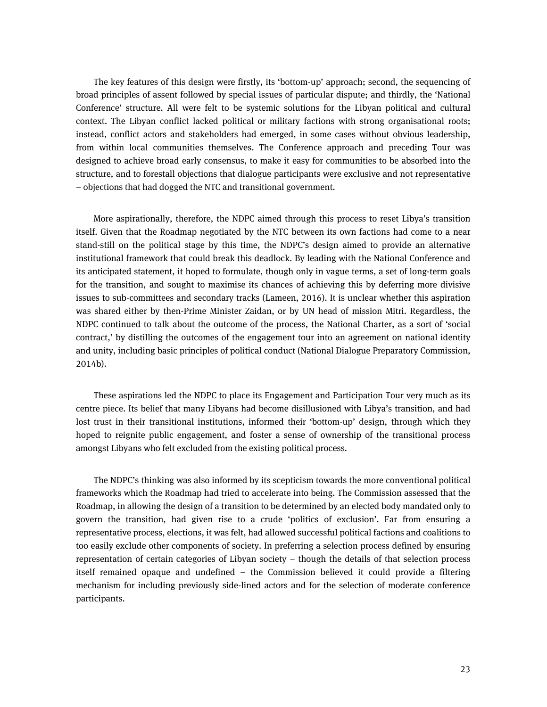The key features of this design were firstly, its 'bottom-up' approach; second, the sequencing of broad principles of assent followed by special issues of particular dispute; and thirdly, the 'National Conference' structure. All were felt to be systemic solutions for the Libyan political and cultural context. The Libyan conflict lacked political or military factions with strong organisational roots; instead, conflict actors and stakeholders had emerged, in some cases without obvious leadership, from within local communities themselves. The Conference approach and preceding Tour was designed to achieve broad early consensus, to make it easy for communities to be absorbed into the structure, and to forestall objections that dialogue participants were exclusive and not representative – objections that had dogged the NTC and transitional government.

More aspirationally, therefore, the NDPC aimed through this process to reset Libya's transition itself. Given that the Roadmap negotiated by the NTC between its own factions had come to a near stand-still on the political stage by this time, the NDPC's design aimed to provide an alternative institutional framework that could break this deadlock. By leading with the National Conference and its anticipated statement, it hoped to formulate, though only in vague terms, a set of long-term goals for the transition, and sought to maximise its chances of achieving this by deferring more divisive issues to sub-committees and secondary tracks (Lameen, 2016). It is unclear whether this aspiration was shared either by then-Prime Minister Zaidan, or by UN head of mission Mitri. Regardless, the NDPC continued to talk about the outcome of the process, the National Charter, as a sort of 'social contract,' by distilling the outcomes of the engagement tour into an agreement on national identity and unity, including basic principles of political conduct (National Dialogue Preparatory Commission, 2014b).

These aspirations led the NDPC to place its Engagement and Participation Tour very much as its centre piece. Its belief that many Libyans had become disillusioned with Libya's transition, and had lost trust in their transitional institutions, informed their 'bottom-up' design, through which they hoped to reignite public engagement, and foster a sense of ownership of the transitional process amongst Libyans who felt excluded from the existing political process.

The NDPC's thinking was also informed by its scepticism towards the more conventional political frameworks which the Roadmap had tried to accelerate into being. The Commission assessed that the Roadmap, in allowing the design of a transition to be determined by an elected body mandated only to govern the transition, had given rise to a crude 'politics of exclusion'. Far from ensuring a representative process, elections, it was felt, had allowed successful political factions and coalitions to too easily exclude other components of society. In preferring a selection process defined by ensuring representation of certain categories of Libyan society – though the details of that selection process itself remained opaque and undefined – the Commission believed it could provide a filtering mechanism for including previously side-lined actors and for the selection of moderate conference participants.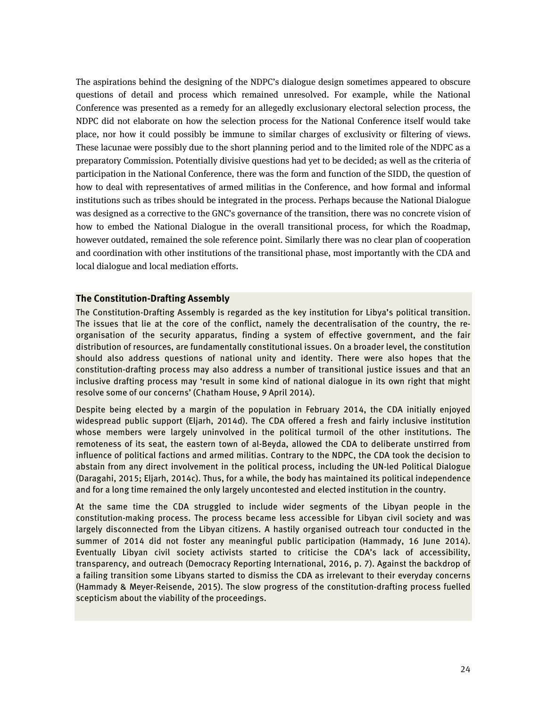The aspirations behind the designing of the NDPC's dialogue design sometimes appeared to obscure questions of detail and process which remained unresolved. For example, while the National Conference was presented as a remedy for an allegedly exclusionary electoral selection process, the NDPC did not elaborate on how the selection process for the National Conference itself would take place, nor how it could possibly be immune to similar charges of exclusivity or filtering of views. These lacunae were possibly due to the short planning period and to the limited role of the NDPC as a preparatory Commission. Potentially divisive questions had yet to be decided; as well as the criteria of participation in the National Conference, there was the form and function of the SIDD, the question of how to deal with representatives of armed militias in the Conference, and how formal and informal institutions such as tribes should be integrated in the process. Perhaps because the National Dialogue was designed as a corrective to the GNC's governance of the transition, there was no concrete vision of how to embed the National Dialogue in the overall transitional process, for which the Roadmap, however outdated, remained the sole reference point. Similarly there was no clear plan of cooperation and coordination with other institutions of the transitional phase, most importantly with the CDA and local dialogue and local mediation efforts.

#### **The Constitution-Drafting Assembly**

The Constitution-Drafting Assembly is regarded as the key institution for Libya's political transition. The issues that lie at the core of the conflict, namely the decentralisation of the country, the reorganisation of the security apparatus, finding a system of effective government, and the fair distribution of resources, are fundamentally constitutional issues. On a broader level, the constitution should also address questions of national unity and identity. There were also hopes that the constitution-drafting process may also address a number of transitional justice issues and that an inclusive drafting process may 'result in some kind of national dialogue in its own right that might resolve some of our concerns' (Chatham House, 9 April 2014).

Despite being elected by a margin of the population in February 2014, the CDA initially enjoyed widespread public support (Eljarh, 2014d). The CDA offered a fresh and fairly inclusive institution whose members were largely uninvolved in the political turmoil of the other institutions. The remoteness of its seat, the eastern town of al-Beyda, allowed the CDA to deliberate unstirred from influence of political factions and armed militias. Contrary to the NDPC, the CDA took the decision to abstain from any direct involvement in the political process, including the UN-led Political Dialogue (Daragahi, 2015; Eljarh, 2014c). Thus, for a while, the body has maintained its political independence and for a long time remained the only largely uncontested and elected institution in the country.

At the same time the CDA struggled to include wider segments of the Libyan people in the constitution-making process. The process became less accessible for Libyan civil society and was largely disconnected from the Libyan citizens. A hastily organised outreach tour conducted in the summer of 2014 did not foster any meaningful public participation (Hammady, 16 June 2014). Eventually Libyan civil society activists started to criticise the CDA's lack of accessibility, transparency, and outreach (Democracy Reporting International, 2016, p. 7). Against the backdrop of a failing transition some Libyans started to dismiss the CDA as irrelevant to their everyday concerns (Hammady & Meyer-Reisende, 2015). The slow progress of the constitution-drafting process fuelled scepticism about the viability of the proceedings.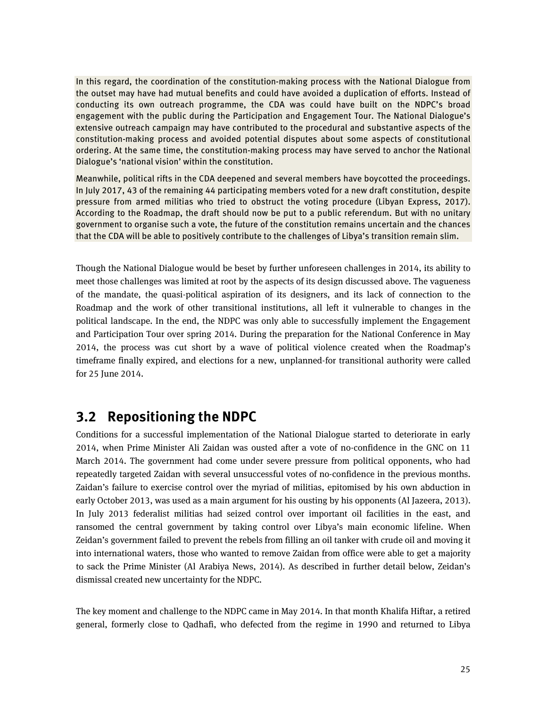In this regard, the coordination of the constitution-making process with the National Dialogue from the outset may have had mutual benefits and could have avoided a duplication of efforts. Instead of conducting its own outreach programme, the CDA was could have built on the NDPC's broad engagement with the public during the Participation and Engagement Tour. The National Dialogue's extensive outreach campaign may have contributed to the procedural and substantive aspects of the constitution-making process and avoided potential disputes about some aspects of constitutional ordering. At the same time, the constitution-making process may have served to anchor the National Dialogue's 'national vision' within the constitution.

Meanwhile, political rifts in the CDA deepened and several members have boycotted the proceedings. In July 2017, 43 of the remaining 44 participating members voted for a new draft constitution, despite pressure from armed militias who tried to obstruct the voting procedure (Libyan Express, 2017). According to the Roadmap, the draft should now be put to a public referendum. But with no unitary government to organise such a vote, the future of the constitution remains uncertain and the chances that the CDA will be able to positively contribute to the challenges of Libya's transition remain slim.

Though the National Dialogue would be beset by further unforeseen challenges in 2014, its ability to meet those challenges was limited at root by the aspects of its design discussed above. The vagueness of the mandate, the quasi-political aspiration of its designers, and its lack of connection to the Roadmap and the work of other transitional institutions, all left it vulnerable to changes in the political landscape. In the end, the NDPC was only able to successfully implement the Engagement and Participation Tour over spring 2014. During the preparation for the National Conference in May 2014, the process was cut short by a wave of political violence created when the Roadmap's timeframe finally expired, and elections for a new, unplanned-for transitional authority were called for 25 June 2014.

## <span id="page-24-0"></span>**3.2 Repositioning the NDPC**

Conditions for a successful implementation of the National Dialogue started to deteriorate in early 2014, when Prime Minister Ali Zaidan was ousted after a vote of no-confidence in the GNC on 11 March 2014. The government had come under severe pressure from political opponents, who had repeatedly targeted Zaidan with several unsuccessful votes of no-confidence in the previous months. Zaidan's failure to exercise control over the myriad of militias, epitomised by his own abduction in early October 2013, was used as a main argument for his ousting by his opponents (Al Jazeera, 2013). In July 2013 federalist militias had seized control over important oil facilities in the east, and ransomed the central government by taking control over Libya's main economic lifeline. When Zeidan's government failed to prevent the rebels from filling an oil tanker with crude oil and moving it into international waters, those who wanted to remove Zaidan from office were able to get a majority to sack the Prime Minister (Al Arabiya News, 2014). As described in further detail below, Zeidan's dismissal created new uncertainty for the NDPC.

The key moment and challenge to the NDPC came in May 2014. In that month Khalifa Hiftar, a retired general, formerly close to Qadhafi, who defected from the regime in 1990 and returned to Libya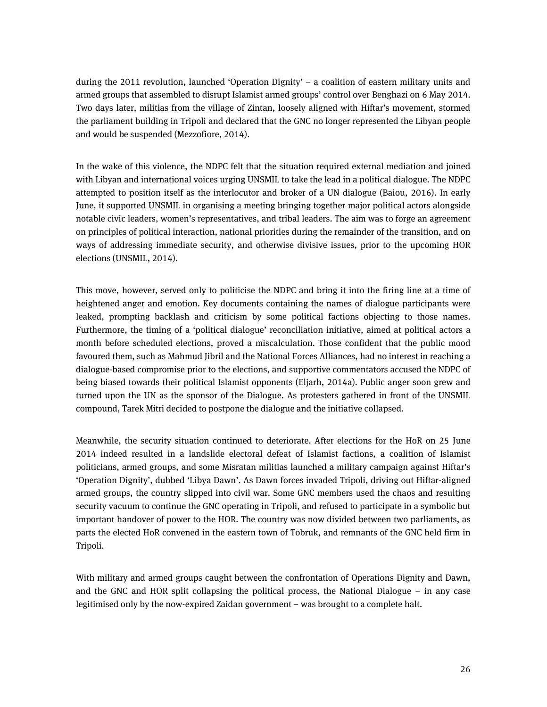during the 2011 revolution, launched 'Operation Dignity' – a coalition of eastern military units and armed groups that assembled to disrupt Islamist armed groups' control over Benghazi on 6 May 2014. Two days later, militias from the village of Zintan, loosely aligned with Hiftar's movement, stormed the parliament building in Tripoli and declared that the GNC no longer represented the Libyan people and would be suspended (Mezzofiore, 2014).

In the wake of this violence, the NDPC felt that the situation required external mediation and joined with Libyan and international voices urging UNSMIL to take the lead in a political dialogue. The NDPC attempted to position itself as the interlocutor and broker of a UN dialogue (Baiou, 2016). In early June, it supported UNSMIL in organising a meeting bringing together major political actors alongside notable civic leaders, women's representatives, and tribal leaders. The aim was to forge an agreement on principles of political interaction, national priorities during the remainder of the transition, and on ways of addressing immediate security, and otherwise divisive issues, prior to the upcoming HOR elections (UNSMIL, 2014).

This move, however, served only to politicise the NDPC and bring it into the firing line at a time of heightened anger and emotion. Key documents containing the names of dialogue participants were leaked, prompting backlash and criticism by some political factions objecting to those names. Furthermore, the timing of a 'political dialogue' reconciliation initiative, aimed at political actors a month before scheduled elections, proved a miscalculation. Those confident that the public mood favoured them, such as Mahmud Jibril and the National Forces Alliances, had no interest in reaching a dialogue-based compromise prior to the elections, and supportive commentators accused the NDPC of being biased towards their political Islamist opponents (Eljarh, 2014a). Public anger soon grew and turned upon the UN as the sponsor of the Dialogue. As protesters gathered in front of the UNSMIL compound, Tarek Mitri decided to postpone the dialogue and the initiative collapsed.

Meanwhile, the security situation continued to deteriorate. After elections for the HoR on 25 June 2014 indeed resulted in a landslide electoral defeat of Islamist factions, a coalition of Islamist politicians, armed groups, and some Misratan militias launched a military campaign against Hiftar's 'Operation Dignity', dubbed 'Libya Dawn'. As Dawn forces invaded Tripoli, driving out Hiftar-aligned armed groups, the country slipped into civil war. Some GNC members used the chaos and resulting security vacuum to continue the GNC operating in Tripoli, and refused to participate in a symbolic but important handover of power to the HOR. The country was now divided between two parliaments, as parts the elected HoR convened in the eastern town of Tobruk, and remnants of the GNC held firm in Tripoli.

With military and armed groups caught between the confrontation of Operations Dignity and Dawn, and the GNC and HOR split collapsing the political process, the National Dialogue – in any case legitimised only by the now-expired Zaidan government – was brought to a complete halt.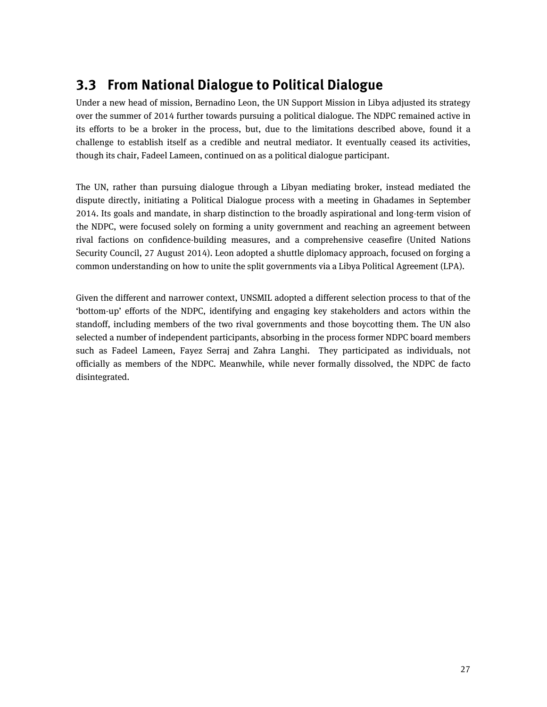# <span id="page-26-0"></span>**3.3 From National Dialogue to Political Dialogue**

Under a new head of mission, Bernadino Leon, the UN Support Mission in Libya adjusted its strategy over the summer of 2014 further towards pursuing a political dialogue. The NDPC remained active in its efforts to be a broker in the process, but, due to the limitations described above, found it a challenge to establish itself as a credible and neutral mediator. It eventually ceased its activities, though its chair, Fadeel Lameen, continued on as a political dialogue participant.

The UN, rather than pursuing dialogue through a Libyan mediating broker, instead mediated the dispute directly, initiating a Political Dialogue process with a meeting in Ghadames in September 2014. Its goals and mandate, in sharp distinction to the broadly aspirational and long-term vision of the NDPC, were focused solely on forming a unity government and reaching an agreement between rival factions on confidence-building measures, and a comprehensive ceasefire (United Nations Security Council, 27 August 2014). Leon adopted a shuttle diplomacy approach, focused on forging a common understanding on how to unite the split governments via a Libya Political Agreement (LPA).

Given the different and narrower context, UNSMIL adopted a different selection process to that of the 'bottom-up' efforts of the NDPC, identifying and engaging key stakeholders and actors within the standoff, including members of the two rival governments and those boycotting them. The UN also selected a number of independent participants, absorbing in the process former NDPC board members such as Fadeel Lameen, Fayez Serraj and Zahra Langhi. They participated as individuals, not officially as members of the NDPC. Meanwhile, while never formally dissolved, the NDPC de facto disintegrated.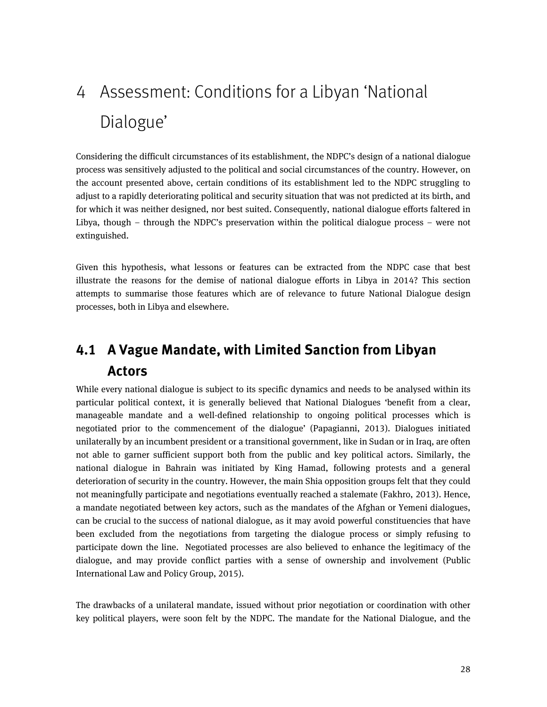# <span id="page-27-0"></span>4 Assessment: Conditions for a Libyan 'National Dialogue'

Considering the difficult circumstances of its establishment, the NDPC's design of a national dialogue process was sensitively adjusted to the political and social circumstances of the country. However, on the account presented above, certain conditions of its establishment led to the NDPC struggling to adjust to a rapidly deteriorating political and security situation that was not predicted at its birth, and for which it was neither designed, nor best suited. Consequently, national dialogue efforts faltered in Libya, though – through the NDPC's preservation within the political dialogue process – were not extinguished.

Given this hypothesis, what lessons or features can be extracted from the NDPC case that best illustrate the reasons for the demise of national dialogue efforts in Libya in 2014? This section attempts to summarise those features which are of relevance to future National Dialogue design processes, both in Libya and elsewhere.

# <span id="page-27-1"></span>**4.1 A Vague Mandate, with Limited Sanction from Libyan Actors**

While every national dialogue is subject to its specific dynamics and needs to be analysed within its particular political context, it is generally believed that National Dialogues 'benefit from a clear, manageable mandate and a well-defined relationship to ongoing political processes which is negotiated prior to the commencement of the dialogue' (Papagianni, 2013). Dialogues initiated unilaterally by an incumbent president or a transitional government, like in Sudan or in Iraq, are often not able to garner sufficient support both from the public and key political actors. Similarly, the national dialogue in Bahrain was initiated by King Hamad, following protests and a general deterioration of security in the country. However, the main Shia opposition groups felt that they could not meaningfully participate and negotiations eventually reached a stalemate (Fakhro, 2013). Hence, a mandate negotiated between key actors, such as the mandates of the Afghan or Yemeni dialogues, can be crucial to the success of national dialogue, as it may avoid powerful constituencies that have been excluded from the negotiations from targeting the dialogue process or simply refusing to participate down the line. Negotiated processes are also believed to enhance the legitimacy of the dialogue, and may provide conflict parties with a sense of ownership and involvement (Public International Law and Policy Group, 2015).

The drawbacks of a unilateral mandate, issued without prior negotiation or coordination with other key political players, were soon felt by the NDPC. The mandate for the National Dialogue, and the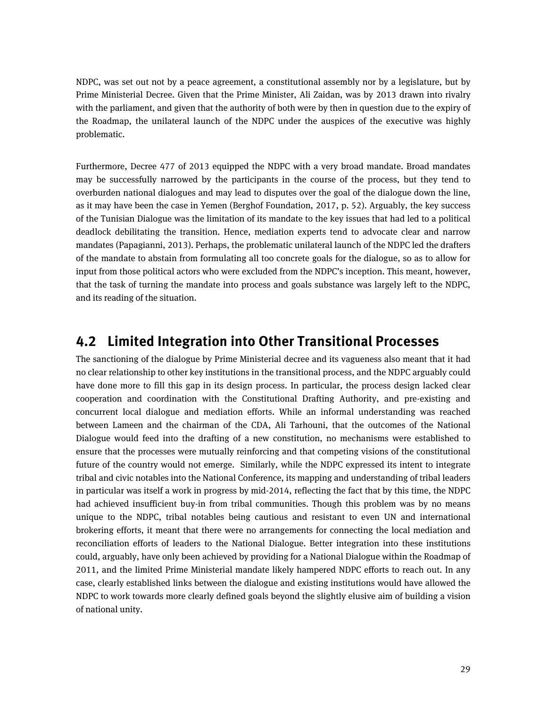NDPC, was set out not by a peace agreement, a constitutional assembly nor by a legislature, but by Prime Ministerial Decree. Given that the Prime Minister, Ali Zaidan, was by 2013 drawn into rivalry with the parliament, and given that the authority of both were by then in question due to the expiry of the Roadmap, the unilateral launch of the NDPC under the auspices of the executive was highly problematic.

Furthermore, Decree 477 of 2013 equipped the NDPC with a very broad mandate. Broad mandates may be successfully narrowed by the participants in the course of the process, but they tend to overburden national dialogues and may lead to disputes over the goal of the dialogue down the line, as it may have been the case in Yemen (Berghof Foundation, 2017, p. 52). Arguably, the key success of the Tunisian Dialogue was the limitation of its mandate to the key issues that had led to a political deadlock debilitating the transition. Hence, mediation experts tend to advocate clear and narrow mandates (Papagianni, 2013). Perhaps, the problematic unilateral launch of the NDPC led the drafters of the mandate to abstain from formulating all too concrete goals for the dialogue, so as to allow for input from those political actors who were excluded from the NDPC's inception. This meant, however, that the task of turning the mandate into process and goals substance was largely left to the NDPC, and its reading of the situation.

## <span id="page-28-0"></span>**4.2 Limited Integration into Other Transitional Processes**

The sanctioning of the dialogue by Prime Ministerial decree and its vagueness also meant that it had no clear relationship to other key institutions in the transitional process, and the NDPC arguably could have done more to fill this gap in its design process. In particular, the process design lacked clear cooperation and coordination with the Constitutional Drafting Authority, and pre-existing and concurrent local dialogue and mediation efforts. While an informal understanding was reached between Lameen and the chairman of the CDA, Ali Tarhouni, that the outcomes of the National Dialogue would feed into the drafting of a new constitution, no mechanisms were established to ensure that the processes were mutually reinforcing and that competing visions of the constitutional future of the country would not emerge. Similarly, while the NDPC expressed its intent to integrate tribal and civic notables into the National Conference, its mapping and understanding of tribal leaders in particular was itself a work in progress by mid-2014, reflecting the fact that by this time, the NDPC had achieved insufficient buy-in from tribal communities. Though this problem was by no means unique to the NDPC, tribal notables being cautious and resistant to even UN and international brokering efforts, it meant that there were no arrangements for connecting the local mediation and reconciliation efforts of leaders to the National Dialogue. Better integration into these institutions could, arguably, have only been achieved by providing for a National Dialogue within the Roadmap of 2011, and the limited Prime Ministerial mandate likely hampered NDPC efforts to reach out. In any case, clearly established links between the dialogue and existing institutions would have allowed the NDPC to work towards more clearly defined goals beyond the slightly elusive aim of building a vision of national unity.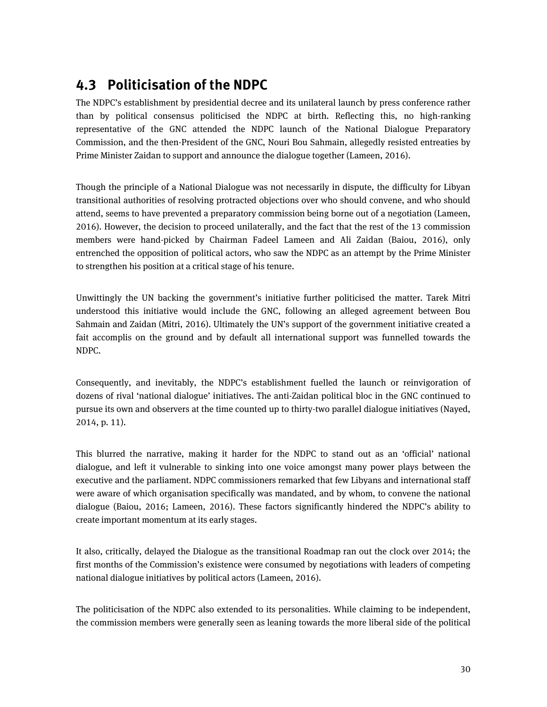# <span id="page-29-0"></span>**4.3 Politicisation of the NDPC**

The NDPC's establishment by presidential decree and its unilateral launch by press conference rather than by political consensus politicised the NDPC at birth. Reflecting this, no high-ranking representative of the GNC attended the NDPC launch of the National Dialogue Preparatory Commission, and the then-President of the GNC, Nouri Bou Sahmain, allegedly resisted entreaties by Prime Minister Zaidan to support and announce the dialogue together (Lameen, 2016).

Though the principle of a National Dialogue was not necessarily in dispute, the difficulty for Libyan transitional authorities of resolving protracted objections over who should convene, and who should attend, seems to have prevented a preparatory commission being borne out of a negotiation (Lameen, 2016). However, the decision to proceed unilaterally, and the fact that the rest of the 13 commission members were hand-picked by Chairman Fadeel Lameen and Ali Zaidan (Baiou, 2016), only entrenched the opposition of political actors, who saw the NDPC as an attempt by the Prime Minister to strengthen his position at a critical stage of his tenure.

Unwittingly the UN backing the government's initiative further politicised the matter. Tarek Mitri understood this initiative would include the GNC, following an alleged agreement between Bou Sahmain and Zaidan (Mitri, 2016). Ultimately the UN's support of the government initiative created a fait accomplis on the ground and by default all international support was funnelled towards the NDPC.

Consequently, and inevitably, the NDPC's establishment fuelled the launch or reinvigoration of dozens of rival 'national dialogue' initiatives. The anti-Zaidan political bloc in the GNC continued to pursue its own and observers at the time counted up to thirty-two parallel dialogue initiatives (Nayed, 2014, p. 11).

This blurred the narrative, making it harder for the NDPC to stand out as an 'official' national dialogue, and left it vulnerable to sinking into one voice amongst many power plays between the executive and the parliament. NDPC commissioners remarked that few Libyans and international staff were aware of which organisation specifically was mandated, and by whom, to convene the national dialogue (Baiou, 2016; Lameen, 2016). These factors significantly hindered the NDPC's ability to create important momentum at its early stages.

It also, critically, delayed the Dialogue as the transitional Roadmap ran out the clock over 2014; the first months of the Commission's existence were consumed by negotiations with leaders of competing national dialogue initiatives by political actors (Lameen, 2016).

The politicisation of the NDPC also extended to its personalities. While claiming to be independent, the commission members were generally seen as leaning towards the more liberal side of the political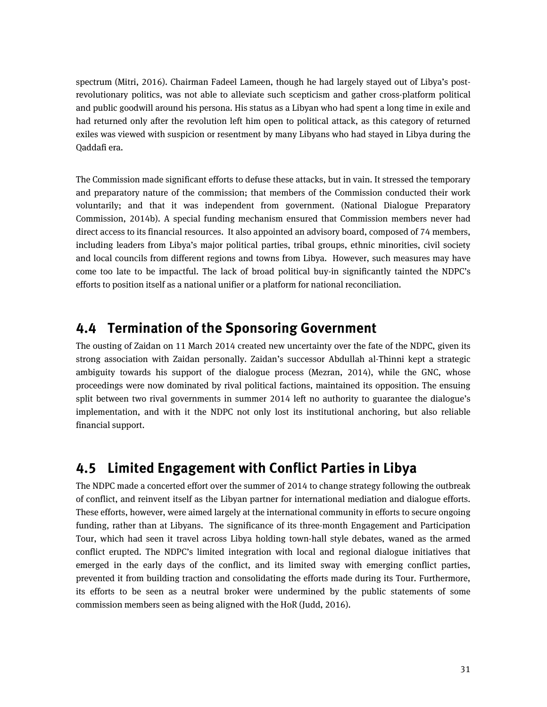spectrum (Mitri, 2016). Chairman Fadeel Lameen, though he had largely stayed out of Libya's postrevolutionary politics, was not able to alleviate such scepticism and gather cross-platform political and public goodwill around his persona. His status as a Libyan who had spent a long time in exile and had returned only after the revolution left him open to political attack, as this category of returned exiles was viewed with suspicion or resentment by many Libyans who had stayed in Libya during the Qaddafi era.

The Commission made significant efforts to defuse these attacks, but in vain. It stressed the temporary and preparatory nature of the commission; that members of the Commission conducted their work voluntarily; and that it was independent from government. (National Dialogue Preparatory Commission, 2014b). A special funding mechanism ensured that Commission members never had direct access to its financial resources. It also appointed an advisory board, composed of 74 members, including leaders from Libya's major political parties, tribal groups, ethnic minorities, civil society and local councils from different regions and towns from Libya. However, such measures may have come too late to be impactful. The lack of broad political buy-in significantly tainted the NDPC's efforts to position itself as a national unifier or a platform for national reconciliation.

## <span id="page-30-0"></span>**4.4 Termination of the Sponsoring Government**

The ousting of Zaidan on 11 March 2014 created new uncertainty over the fate of the NDPC, given its strong association with Zaidan personally. Zaidan's successor Abdullah al-Thinni kept a strategic ambiguity towards his support of the dialogue process (Mezran, 2014), while the GNC, whose proceedings were now dominated by rival political factions, maintained its opposition. The ensuing split between two rival governments in summer 2014 left no authority to guarantee the dialogue's implementation, and with it the NDPC not only lost its institutional anchoring, but also reliable financial support.

# <span id="page-30-1"></span>**4.5 Limited Engagement with Conflict Parties in Libya**

The NDPC made a concerted effort over the summer of 2014 to change strategy following the outbreak of conflict, and reinvent itself as the Libyan partner for international mediation and dialogue efforts. These efforts, however, were aimed largely at the international community in efforts to secure ongoing funding, rather than at Libyans. The significance of its three-month Engagement and Participation Tour, which had seen it travel across Libya holding town-hall style debates, waned as the armed conflict erupted. The NDPC's limited integration with local and regional dialogue initiatives that emerged in the early days of the conflict, and its limited sway with emerging conflict parties, prevented it from building traction and consolidating the efforts made during its Tour. Furthermore, its efforts to be seen as a neutral broker were undermined by the public statements of some commission members seen as being aligned with the HoR (Judd, 2016).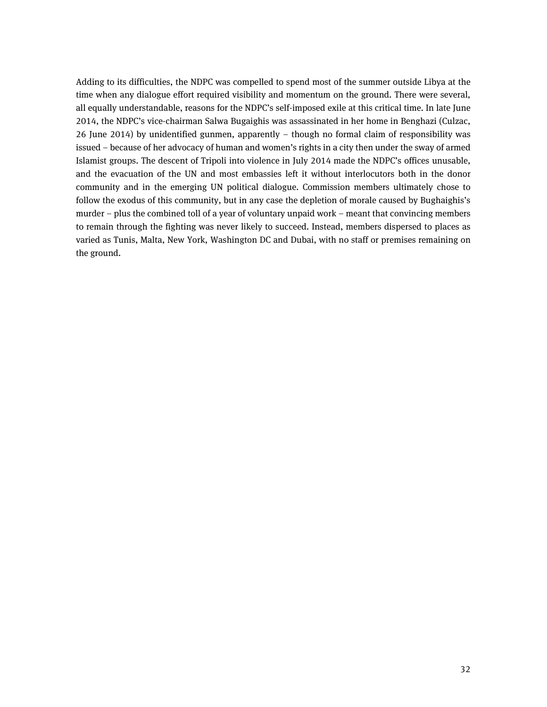Adding to its difficulties, the NDPC was compelled to spend most of the summer outside Libya at the time when any dialogue effort required visibility and momentum on the ground. There were several, all equally understandable, reasons for the NDPC's self-imposed exile at this critical time. In late June 2014, the NDPC's vice-chairman Salwa Bugaighis was assassinated in her home in Benghazi (Culzac, 26 June 2014) by unidentified gunmen, apparently – though no formal claim of responsibility was issued – because of her advocacy of human and women's rights in a city then under the sway of armed Islamist groups. The descent of Tripoli into violence in July 2014 made the NDPC's offices unusable, and the evacuation of the UN and most embassies left it without interlocutors both in the donor community and in the emerging UN political dialogue. Commission members ultimately chose to follow the exodus of this community, but in any case the depletion of morale caused by Bughaighis's murder – plus the combined toll of a year of voluntary unpaid work – meant that convincing members to remain through the fighting was never likely to succeed. Instead, members dispersed to places as varied as Tunis, Malta, New York, Washington DC and Dubai, with no staff or premises remaining on the ground.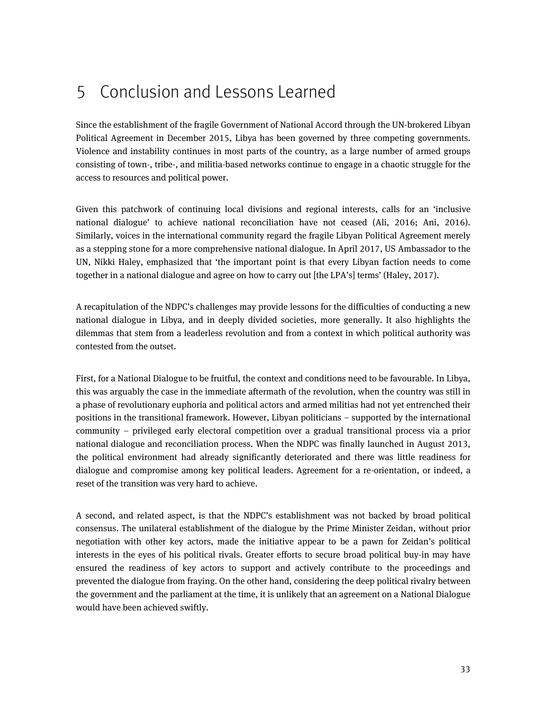# <span id="page-32-0"></span>5 Conclusion and Lessons Learned

Since the establishment of the fragile Government of National Accord through the UN-brokered Libyan Political Agreement in December 2015, Libya has been governed by three competing governments. Violence and instability continues in most parts of the country, as a large number of armed groups consisting of town-, tribe-, and militia-based networks continue to engage in a chaotic struggle for the access to resources and political power.

Given this patchwork of continuing local divisions and regional interests, calls for an 'inclusive national dialogue' to achieve national reconciliation have not ceased (Ali, 2016; Ani, 2016). Similarly, voices in the international community regard the fragile Libyan Political Agreement merely as a stepping stone for a more comprehensive national dialogue. In April 2017, US Ambassador to the UN, Nikki Haley, emphasized that 'the important point is that every Libyan faction needs to come together in a national dialogue and agree on how to carry out [the LPA's] terms' (Haley, 2017).

A recapitulation of the NDPC's challenges may provide lessons for the difficulties of conducting a new national dialogue in Libya, and in deeply divided societies, more generally. It also highlights the dilemmas that stem from a leaderless revolution and from a context in which political authority was contested from the outset.

First, for a National Dialogue to be fruitful, the context and conditions need to be favourable. In Libya, this was arguably the case in the immediate aftermath of the revolution, when the country was still in a phase of revolutionary euphoria and political actors and armed militias had not yet entrenched their positions in the transitional framework. However, Libyan politicians – supported by the international community – privileged early electoral competition over a gradual transitional process via a prior national dialogue and reconciliation process. When the NDPC was finally launched in August 2013, the political environment had already significantly deteriorated and there was little readiness for dialogue and compromise among key political leaders. Agreement for a re-orientation, or indeed, a reset of the transition was very hard to achieve.

A second, and related aspect, is that the NDPC's establishment was not backed by broad political consensus. The unilateral establishment of the dialogue by the Prime Minister Zeidan, without prior negotiation with other key actors, made the initiative appear to be a pawn for Zeidan's political interests in the eyes of his political rivals. Greater efforts to secure broad political buy-in may have ensured the readiness of key actors to support and actively contribute to the proceedings and prevented the dialogue from fraying. On the other hand, considering the deep political rivalry between the government and the parliament at the time, it is unlikely that an agreement on a National Dialogue would have been achieved swiftly.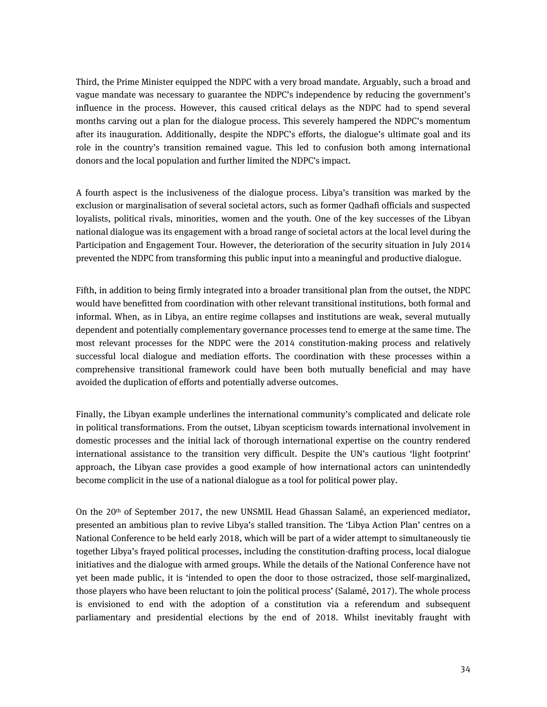Third, the Prime Minister equipped the NDPC with a very broad mandate. Arguably, such a broad and vague mandate was necessary to guarantee the NDPC's independence by reducing the government's influence in the process. However, this caused critical delays as the NDPC had to spend several months carving out a plan for the dialogue process. This severely hampered the NDPC's momentum after its inauguration. Additionally, despite the NDPC's efforts, the dialogue's ultimate goal and its role in the country's transition remained vague. This led to confusion both among international donors and the local population and further limited the NDPC's impact.

A fourth aspect is the inclusiveness of the dialogue process. Libya's transition was marked by the exclusion or marginalisation of several societal actors, such as former Qadhafi officials and suspected loyalists, political rivals, minorities, women and the youth. One of the key successes of the Libyan national dialogue was its engagement with a broad range of societal actors at the local level during the Participation and Engagement Tour. However, the deterioration of the security situation in July 2014 prevented the NDPC from transforming this public input into a meaningful and productive dialogue.

Fifth, in addition to being firmly integrated into a broader transitional plan from the outset, the NDPC would have benefitted from coordination with other relevant transitional institutions, both formal and informal. When, as in Libya, an entire regime collapses and institutions are weak, several mutually dependent and potentially complementary governance processes tend to emerge at the same time. The most relevant processes for the NDPC were the 2014 constitution-making process and relatively successful local dialogue and mediation efforts. The coordination with these processes within a comprehensive transitional framework could have been both mutually beneficial and may have avoided the duplication of efforts and potentially adverse outcomes.

Finally, the Libyan example underlines the international community's complicated and delicate role in political transformations. From the outset, Libyan scepticism towards international involvement in domestic processes and the initial lack of thorough international expertise on the country rendered international assistance to the transition very difficult. Despite the UN's cautious 'light footprint' approach, the Libyan case provides a good example of how international actors can unintendedly become complicit in the use of a national dialogue as a tool for political power play.

On the 20th of September 2017, the new UNSMIL Head Ghassan Salamé, an experienced mediator, presented an ambitious plan to revive Libya's stalled transition. The 'Libya Action Plan' centres on a National Conference to be held early 2018, which will be part of a wider attempt to simultaneously tie together Libya's frayed political processes, including the constitution-drafting process, local dialogue initiatives and the dialogue with armed groups. While the details of the National Conference have not yet been made public, it is 'intended to open the door to those ostracized, those self-marginalized, those players who have been reluctant to join the political process' (Salamé, 2017). The whole process is envisioned to end with the adoption of a constitution via a referendum and subsequent parliamentary and presidential elections by the end of 2018. Whilst inevitably fraught with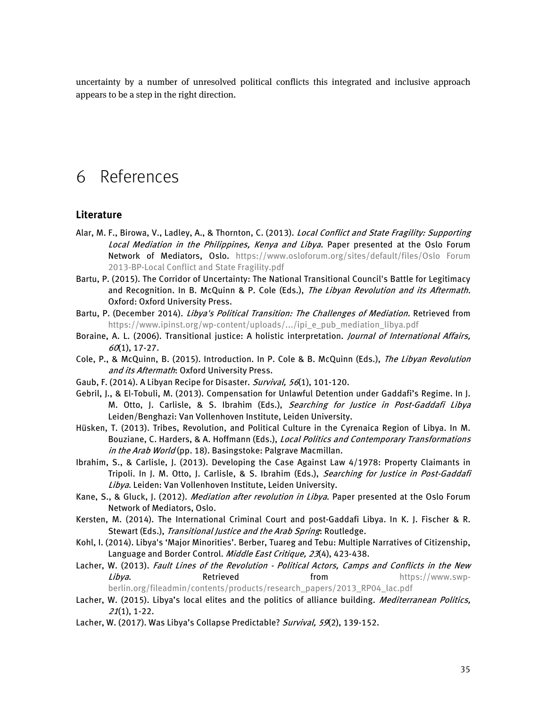uncertainty by a number of unresolved political conflicts this integrated and inclusive approach appears to be a step in the right direction.

# <span id="page-34-0"></span>6 References

#### **Literature**

- Alar, M. F., Birowa, V., Ladley, A., & Thornton, C. (2013). *Local Conflict and State Fragility: Supporting* Local Mediation in the Philippines, Kenya and Libya. Paper presented at the Oslo Forum Network of Mediators, Oslo. [https://www.osloforum.org/sites/default/files/Oslo Forum](https://www.osloforum.org/sites/default/files/Oslo%20Forum%202013-BP-Local%20Conflict%20and%20State%20Fragility.pdf)  [2013-BP-Local Conflict and State Fragility.pdf](https://www.osloforum.org/sites/default/files/Oslo%20Forum%202013-BP-Local%20Conflict%20and%20State%20Fragility.pdf)
- Bartu, P. (2015). The Corridor of Uncertainty: The National Transitional Council's Battle for Legitimacy and Recognition. In B. McQuinn & P. Cole (Eds.), The Libyan Revolution and its Aftermath. Oxford: Oxford University Press.
- Bartu, P. (December 2014). Libya's Political Transition: The Challenges of Mediation. Retrieved from [https://www.ipinst.org/wp-content/uploads/.../ipi\\_e\\_pub\\_mediation\\_libya.pdf](https://www.ipinst.org/wp-content/uploads/.../ipi_e_pub_mediation_libya.pdf)
- Boraine, A. L. (2006). Transitional justice: A holistic interpretation. *Journal of International Affairs*,  $60(1), 17-27.$
- Cole, P., & McQuinn, B. (2015). Introduction. In P. Cole & B. McQuinn (Eds.), The Libyan Revolution and its Aftermath: Oxford University Press.
- Gaub, F. (2014). A Libyan Recipe for Disaster. Survival, 56(1), 101-120.
- Gebril, J., & El-Tobuli, M. (2013). Compensation for Unlawful Detention under Gaddafi's Regime. In J. M. Otto, J. Carlisle, & S. Ibrahim (Eds.), Searching for Justice in Post-Gaddafi Libya Leiden/Benghazi: Van Vollenhoven Institute, Leiden University.
- Hüsken, T. (2013). Tribes, Revolution, and Political Culture in the Cyrenaica Region of Libya. In M. Bouziane, C. Harders, & A. Hoffmann (Eds.), Local Politics and Contemporary Transformations in the Arab World (pp. 18). Basingstoke: Palgrave Macmillan.
- Ibrahim, S., & Carlisle, J. (2013). Developing the Case Against Law 4/1978: Property Claimants in Tripoli. In J. M. Otto, J. Carlisle, & S. Ibrahim (Eds.), Searching for Justice in Post-Gaddafi Libya. Leiden: Van Vollenhoven Institute, Leiden University.
- Kane, S., & Gluck, J. (2012). Mediation after revolution in Libya. Paper presented at the Oslo Forum Network of Mediators, Oslo.
- Kersten, M. (2014). The International Criminal Court and post-Gaddafi Libya. In K. J. Fischer & R. Stewart (Eds.), *Transitional Justice and the Arab Spring*: Routledge.
- Kohl, I. (2014). Libya's 'Major Minorities'. Berber, Tuareg and Tebu: Multiple Narratives of Citizenship, Language and Border Control. Middle East Critique, 23(4), 423-438.
- Lacher, W. (2013). Fault Lines of the Revolution Political Actors, Camps and Conflicts in the New Libya. Retrieved from [https://www.swp](https://www.swp-berlin.org/fileadmin/contents/products/research_papers/2013_RP04_lac.pdf)
	- [berlin.org/fileadmin/contents/products/research\\_papers/2013\\_RP04\\_lac.pdf](https://www.swp-berlin.org/fileadmin/contents/products/research_papers/2013_RP04_lac.pdf)
- Lacher, W. (2015). Libya's local elites and the politics of alliance building. Mediterranean Politics, <sup>21</sup>(1), 1-22.
- Lacher, W. (2017). Was Libya's Collapse Predictable? Survival, 59(2), 139-152.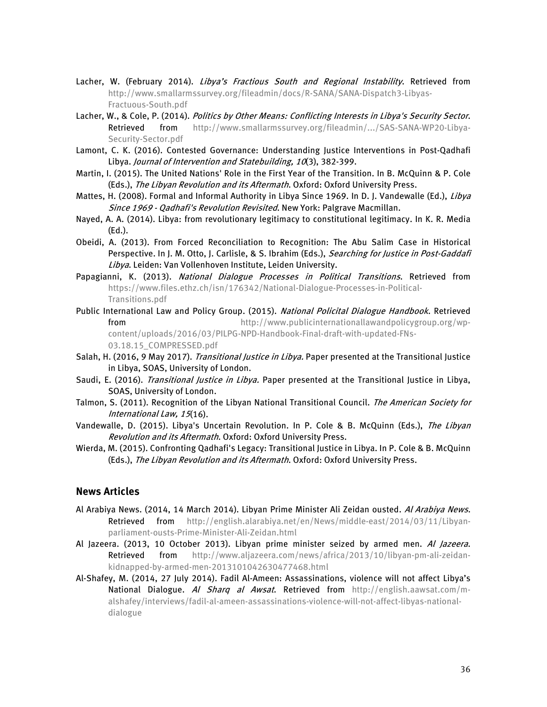- Lacher, W. (February 2014). Libya's Fractious South and Regional Instability. Retrieved from [http://www.smallarmssurvey.org/fileadmin/docs/R-SANA/SANA-Dispatch3-Libyas-](http://www.smallarmssurvey.org/fileadmin/docs/R-SANA/SANA-Dispatch3-Libyas-Fractuous-South.pdf)[Fractuous-South.pdf](http://www.smallarmssurvey.org/fileadmin/docs/R-SANA/SANA-Dispatch3-Libyas-Fractuous-South.pdf)
- Lacher, W., & Cole, P. (2014). Politics by Other Means: Conflicting Interests in Libya's Security Sector. Retrieved from [http://www.smallarmssurvey.org/fileadmin/.../SAS-SANA-WP20-Libya-](http://www.smallarmssurvey.org/fileadmin/.../SAS-SANA-WP20-Libya-Security-Sector.pdf)[Security-Sector.pdf](http://www.smallarmssurvey.org/fileadmin/.../SAS-SANA-WP20-Libya-Security-Sector.pdf)
- Lamont, C. K. (2016). Contested Governance: Understanding Justice Interventions in Post-Qadhafi Libya. Journal of Intervention and Statebuilding, 10(3), 382-399.
- Martin, I. (2015). The United Nations' Role in the First Year of the Transition. In B. McQuinn & P. Cole (Eds.), The Libyan Revolution and its Aftermath. Oxford: Oxford University Press.
- Mattes, H. (2008). Formal and Informal Authority in Libya Since 1969. In D. J. Vandewalle (Ed.), Libya Since 1969 - Qadhafi's Revolution Revisited. New York: Palgrave Macmillan.
- Nayed, A. A. (2014). Libya: from revolutionary legitimacy to constitutional legitimacy. In K. R. Media (Ed.).
- Obeidi, A. (2013). From Forced Reconciliation to Recognition: The Abu Salim Case in Historical Perspective. In J. M. Otto, J. Carlisle, & S. Ibrahim (Eds.), Searching for Justice in Post-Gaddafi Libya. Leiden: Van Vollenhoven Institute, Leiden University.
- Papagianni, K. (2013). National Dialogue Processes in Political Transitions. Retrieved from [https://www.files.ethz.ch/isn/176342/National-Dialogue-Processes-in-Political-](https://www.files.ethz.ch/isn/176342/National-Dialogue-Processes-in-Political-Transitions.pdf)[Transitions.pdf](https://www.files.ethz.ch/isn/176342/National-Dialogue-Processes-in-Political-Transitions.pdf)
- Public International Law and Policy Group. (2015). National Policital Dialogue Handbook. Retrieved from [http://www.publicinternationallawandpolicygroup.org/wp](http://www.publicinternationallawandpolicygroup.org/wp-content/uploads/2016/03/PILPG-NPD-Handbook-Final-draft-with-updated-FNs-03.18.15_COMPRESSED.pdf)[content/uploads/2016/03/PILPG-NPD-Handbook-Final-draft-with-updated-FNs-](http://www.publicinternationallawandpolicygroup.org/wp-content/uploads/2016/03/PILPG-NPD-Handbook-Final-draft-with-updated-FNs-03.18.15_COMPRESSED.pdf)[03.18.15\\_COMPRESSED.pdf](http://www.publicinternationallawandpolicygroup.org/wp-content/uploads/2016/03/PILPG-NPD-Handbook-Final-draft-with-updated-FNs-03.18.15_COMPRESSED.pdf)
- Salah, H. (2016, 9 May 2017). Transitional Justice in Libya. Paper presented at the Transitional Justice in Libya, SOAS, University of London.
- Saudi, E. (2016). Transitional Justice in Libya. Paper presented at the Transitional Justice in Libya, SOAS, University of London.
- Talmon, S. (2011). Recognition of the Libyan National Transitional Council. The American Society for International Law, 15(16).
- Vandewalle, D. (2015). Libya's Uncertain Revolution. In P. Cole & B. McQuinn (Eds.), The Libyan Revolution and its Aftermath. Oxford: Oxford University Press.
- Wierda, M. (2015). Confronting Qadhafi's Legacy: Transitional Justice in Libya. In P. Cole & B. McQuinn (Eds.), The Libyan Revolution and its Aftermath. Oxford: Oxford University Press.

#### **News Articles**

- Al Arabiya News. (2014, 14 March 2014). Libyan Prime Minister Ali Zeidan ousted. Al Arabiya News. Retrieved from [http://english.alarabiya.net/en/News/middle-east/2014/03/11/Libyan](http://english.alarabiya.net/en/News/middle-east/2014/03/11/Libyan-parliament-ousts-Prime-Minister-Ali-Zeidan.html)[parliament-ousts-Prime-Minister-Ali-Zeidan.html](http://english.alarabiya.net/en/News/middle-east/2014/03/11/Libyan-parliament-ousts-Prime-Minister-Ali-Zeidan.html)
- Al Jazeera. (2013, 10 October 2013). Libyan prime minister seized by armed men. Al Jazeera. Retrieved from [http://www.aljazeera.com/news/africa/2013/10/libyan-pm-ali-zeidan](http://www.aljazeera.com/news/africa/2013/10/libyan-pm-ali-zeidan-kidnapped-by-armed-men-2013101042630477468.html)[kidnapped-by-armed-men-2013101042630477468.html](http://www.aljazeera.com/news/africa/2013/10/libyan-pm-ali-zeidan-kidnapped-by-armed-men-2013101042630477468.html)
- Al-Shafey, M. (2014, 27 July 2014). Fadil Al-Ameen: Assassinations, violence will not affect Libya's National Dialogue. Al Sharq al Awsat. Retrieved from [http://english.aawsat.com/m](http://english.aawsat.com/m-alshafey/interviews/fadil-al-ameen-assassinations-violence-will-not-affect-libyas-national-dialogue)[alshafey/interviews/fadil-al-ameen-assassinations-violence-will-not-affect-libyas-national](http://english.aawsat.com/m-alshafey/interviews/fadil-al-ameen-assassinations-violence-will-not-affect-libyas-national-dialogue)[dialogue](http://english.aawsat.com/m-alshafey/interviews/fadil-al-ameen-assassinations-violence-will-not-affect-libyas-national-dialogue)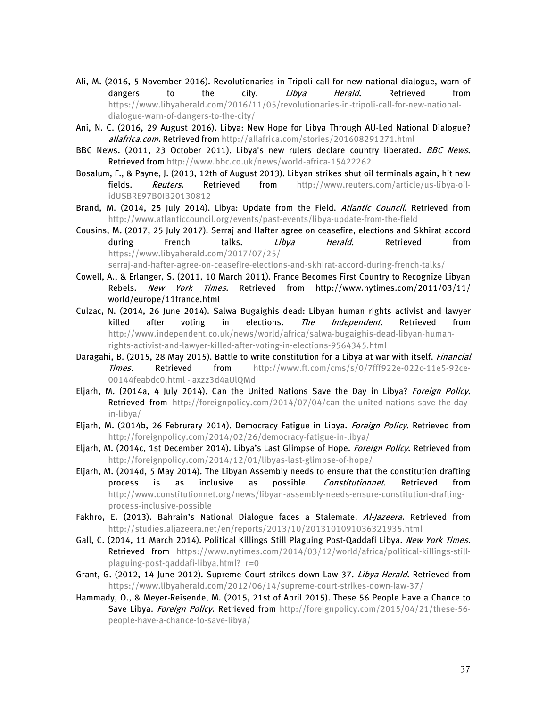- Ali, M. (2016, 5 November 2016). Revolutionaries in Tripoli call for new national dialogue, warn of dangers to the city. *Libya Herald*. Retrieved from [https://www.libyaherald.com/2016/11/05/revolutionaries-in-tripoli-call-for-new-national](https://www.libyaherald.com/2016/11/05/revolutionaries-in-tripoli-call-for-new-national-dialogue-warn-of-dangers-to-the-city/)[dialogue-warn-of-dangers-to-the-city/](https://www.libyaherald.com/2016/11/05/revolutionaries-in-tripoli-call-for-new-national-dialogue-warn-of-dangers-to-the-city/)
- Ani, N. C. (2016, 29 August 2016). Libya: New Hope for Libya Through AU-Led National Dialogue? allafrica.com. Retrieved from<http://allafrica.com/stories/201608291271.html>
- BBC News. (2011, 23 October 2011). Libya's new rulers declare country liberated. BBC News. Retrieved fro[m http://www.bbc.co.uk/news/world-africa-15422262](http://www.bbc.co.uk/news/world-africa-15422262)
- Bosalum, F., & Payne, J. (2013, 12th of August 2013). Libyan strikes shut oil terminals again, hit new fields. Reuters. Retrieved from [http://www.reuters.com/article/us-libya-oil](http://www.reuters.com/article/us-libya-oil-idUSBRE97B0IB20130812)[idUSBRE97B0IB20130812](http://www.reuters.com/article/us-libya-oil-idUSBRE97B0IB20130812)
- Brand, M. (2014, 25 July 2014). Libya: Update from the Field. Atlantic Council. Retrieved from <http://www.atlanticcouncil.org/events/past-events/libya-update-from-the-field>
- Cousins, M. (2017, 25 July 2017). Serraj and Hafter agree on ceasefire, elections and Skhirat accord during French talks. Libya Herald. Retrieved from [https://www.libyaherald.com/2017/07/25/](https://www.libyaherald.com/2017/07/25/serraj-and-hafter-agree-on-ceasefire-elections-and-skhirat-accord-during-french-talks/)

[serraj-and-hafter-agree-on-ceasefire-elections-and-skhirat-accord-during-french-talks/](https://www.libyaherald.com/2017/07/25/serraj-and-hafter-agree-on-ceasefire-elections-and-skhirat-accord-during-french-talks/)

- Cowell, A., & Erlanger, S. (2011, 10 March 2011). France Becomes First Country to Recognize Libyan Rebels. New York Times. Retrieved from http://www.nytimes.com/2011/03/11/ world/europe/11france.html
- Culzac, N. (2014, 26 June 2014). Salwa Bugaighis dead: Libyan human rights activist and lawyer killed after voting in elections. The Independent. Retrieved from [http://www.independent.co.uk/news/world/africa/salwa-bugaighis-dead-libyan-human](http://www.independent.co.uk/news/world/africa/salwa-bugaighis-dead-libyan-human-rights-activist-and-lawyer-killed-after-voting-in-elections-9564345.html)[rights-activist-and-lawyer-killed-after-voting-in-elections-9564345.html](http://www.independent.co.uk/news/world/africa/salwa-bugaighis-dead-libyan-human-rights-activist-and-lawyer-killed-after-voting-in-elections-9564345.html)
- Daragahi, B. (2015, 28 May 2015). Battle to write constitution for a Libya at war with itself. Financial Times. Retrieved from [http://www.ft.com/cms/s/0/7fff922e-022c-11e5-92ce-](http://www.ft.com/cms/s/0/7fff922e-022c-11e5-92ce-00144feabdc0.html#axzz3d4aUlQMd)[00144feabdc0.html -](http://www.ft.com/cms/s/0/7fff922e-022c-11e5-92ce-00144feabdc0.html#axzz3d4aUlQMd) axzz3d4aUlQMd
- Eljarh, M. (2014a, 4 July 2014). Can the United Nations Save the Day in Libya? Foreign Policy. Retrieved from [http://foreignpolicy.com/2014/07/04/can-the-united-nations-save-the-day](http://foreignpolicy.com/2014/07/04/can-the-united-nations-save-the-day-in-libya/)[in-libya/](http://foreignpolicy.com/2014/07/04/can-the-united-nations-save-the-day-in-libya/)
- Eljarh, M. (2014b, 26 Februrary 2014). Democracy Fatigue in Libya. Foreign Policy. Retrieved from <http://foreignpolicy.com/2014/02/26/democracy-fatigue-in-libya/>
- Eljarh, M. (2014c, 1st December 2014). Libya's Last Glimpse of Hope. Foreign Policy. Retrieved from <http://foreignpolicy.com/2014/12/01/libyas-last-glimpse-of-hope/>
- Eljarh, M. (2014d, 5 May 2014). The Libyan Assembly needs to ensure that the constitution drafting process is as inclusive as possible. *Constitutionnet*. Retrieved from [http://www.constitutionnet.org/news/libyan-assembly-needs-ensure-constitution-drafting](http://www.constitutionnet.org/news/libyan-assembly-needs-ensure-constitution-drafting-process-inclusive-possible)[process-inclusive-possible](http://www.constitutionnet.org/news/libyan-assembly-needs-ensure-constitution-drafting-process-inclusive-possible)
- Fakhro, E. (2013). Bahrain's National Dialogue faces a Stalemate. Al-Jazeera. Retrieved from <http://studies.aljazeera.net/en/reports/2013/10/2013101091036321935.html>
- Gall, C. (2014, 11 March 2014). Political Killings Still Plaguing Post-Qaddafi Libya. New York Times. Retrieved from [https://www.nytimes.com/2014/03/12/world/africa/political-killings-still](https://www.nytimes.com/2014/03/12/world/africa/political-killings-still-plaguing-post-qaddafi-libya.html?_r=0)[plaguing-post-qaddafi-libya.html?\\_r=0](https://www.nytimes.com/2014/03/12/world/africa/political-killings-still-plaguing-post-qaddafi-libya.html?_r=0)
- Grant, G. (2012, 14 June 2012). Supreme Court strikes down Law 37. Libya Herald. Retrieved from <https://www.libyaherald.com/2012/06/14/supreme-court-strikes-down-law-37/>
- Hammady, O., & Meyer-Reisende, M. (2015, 21st of April 2015). These 56 People Have a Chance to Save Libya. Foreign Policy. Retrieved from [http://foreignpolicy.com/2015/04/21/these-56](http://foreignpolicy.com/2015/04/21/these-56-people-have-a-chance-to-save-libya/) [people-have-a-chance-to-save-libya/](http://foreignpolicy.com/2015/04/21/these-56-people-have-a-chance-to-save-libya/)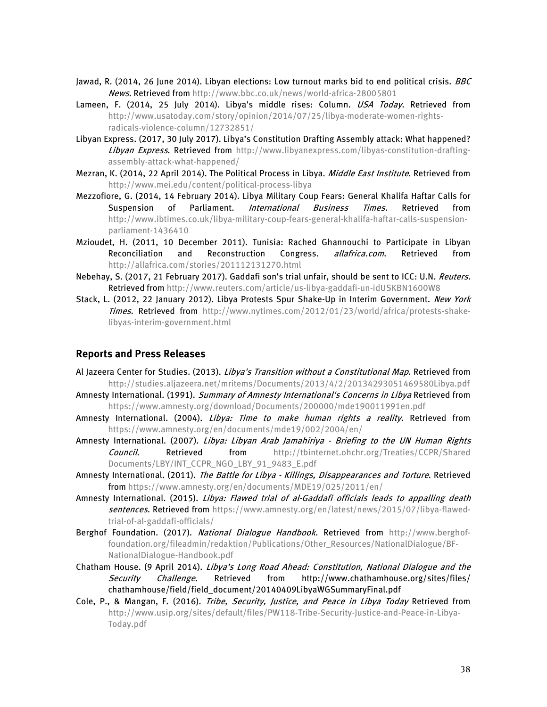- Jawad, R. (2014, 26 June 2014). Libyan elections: Low turnout marks bid to end political crisis. *BBC* News. Retrieved from<http://www.bbc.co.uk/news/world-africa-28005801>
- Lameen, F. (2014, 25 July 2014). Libya's middle rises: Column. USA Today. Retrieved from [http://www.usatoday.com/story/opinion/2014/07/25/libya-moderate-women-rights](http://www.usatoday.com/story/opinion/2014/07/25/libya-moderate-women-rights-radicals-violence-column/12732851/)[radicals-violence-column/12732851/](http://www.usatoday.com/story/opinion/2014/07/25/libya-moderate-women-rights-radicals-violence-column/12732851/)
- Libyan Express. (2017, 30 July 2017). Libya's Constitution Drafting Assembly attack: What happened? Libyan Express. Retrieved from [http://www.libyanexpress.com/libyas-constitution-drafting](http://www.libyanexpress.com/libyas-constitution-drafting-assembly-attack-what-happened/)[assembly-attack-what-happened/](http://www.libyanexpress.com/libyas-constitution-drafting-assembly-attack-what-happened/)
- Mezran, K. (2014, 22 April 2014). The Political Process in Libya. Middle East Institute. Retrieved from <http://www.mei.edu/content/political-process-libya>
- Mezzofiore, G. (2014, 14 February 2014). Libya Military Coup Fears: General Khalifa Haftar Calls for Suspension of Parliament. *International Business Times*. Retrieved from [http://www.ibtimes.co.uk/libya-military-coup-fears-general-khalifa-haftar-calls-suspension](http://www.ibtimes.co.uk/libya-military-coup-fears-general-khalifa-haftar-calls-suspension-parliament-1436410)[parliament-1436410](http://www.ibtimes.co.uk/libya-military-coup-fears-general-khalifa-haftar-calls-suspension-parliament-1436410)
- Mzioudet, H. (2011, 10 December 2011). Tunisia: Rached Ghannouchi to Participate in Libyan Reconciliation and Reconstruction Congress. allafrica.com. Retrieved from <http://allafrica.com/stories/201112131270.html>
- Nebehay, S. (2017, 21 February 2017). Gaddafi son's trial unfair, should be sent to ICC: U.N. Reuters. Retrieved fro[m http://www.reuters.com/article/us-libya-gaddafi-un-idUSKBN1600W8](http://www.reuters.com/article/us-libya-gaddafi-un-idUSKBN1600W8)
- Stack, L. (2012, 22 January 2012). Libya Protests Spur Shake-Up in Interim Government. New York Times. Retrieved from [http://www.nytimes.com/2012/01/23/world/africa/protests-shake](http://www.nytimes.com/2012/01/23/world/africa/protests-shake-libyas-interim-government.html)[libyas-interim-government.html](http://www.nytimes.com/2012/01/23/world/africa/protests-shake-libyas-interim-government.html)

#### **Reports and Press Releases**

- Al Jazeera Center for Studies. (2013). Libya's Transition without a Constitutional Map. Retrieved from <http://studies.aljazeera.net/mritems/Documents/2013/4/2/20134293051469580Libya.pdf>
- Amnesty International. (1991). Summary of Amnesty International's Concerns in Libya Retrieved from <https://www.amnesty.org/download/Documents/200000/mde190011991en.pdf>
- Amnesty International. (2004). Libya: Time to make human rights a reality. Retrieved from <https://www.amnesty.org/en/documents/mde19/002/2004/en/>
- Amnesty International. (2007). Libya: Libyan Arab Jamahiriya Briefing to the UN Human Rights Council. Retrieved from [http://tbinternet.ohchr.org/Treaties/CCPR/Shared](http://tbinternet.ohchr.org/Treaties/CCPR/Shared%20Documents/LBY/INT_CCPR_NGO_LBY_91_9483_E.pdf)  [Documents/LBY/INT\\_CCPR\\_NGO\\_LBY\\_91\\_9483\\_E.pdf](http://tbinternet.ohchr.org/Treaties/CCPR/Shared%20Documents/LBY/INT_CCPR_NGO_LBY_91_9483_E.pdf)
- Amnesty International. (2011). The Battle for Libya Killings, Disappearances and Torture. Retrieved fro[m https://www.amnesty.org/en/documents/MDE19/025/2011/en/](https://www.amnesty.org/en/documents/MDE19/025/2011/en/)
- Amnesty International. (2015). Libya: Flawed trial of al-Gaddafi officials leads to appalling death sentences. Retrieved from [https://www.amnesty.org/en/latest/news/2015/07/libya-flawed](https://www.amnesty.org/en/latest/news/2015/07/libya-flawed-trial-of-al-gaddafi-officials/)[trial-of-al-gaddafi-officials/](https://www.amnesty.org/en/latest/news/2015/07/libya-flawed-trial-of-al-gaddafi-officials/)
- Berghof Foundation. (2017). National Dialogue Handbook. Retrieved from [http://www.berghof](http://www.berghof-foundation.org/fileadmin/redaktion/Publications/Other_Resources/NationalDialogue/BF-NationalDialogue-Handbook.pdf)[foundation.org/fileadmin/redaktion/Publications/Other\\_Resources/NationalDialogue/BF-](http://www.berghof-foundation.org/fileadmin/redaktion/Publications/Other_Resources/NationalDialogue/BF-NationalDialogue-Handbook.pdf)[NationalDialogue-Handbook.pdf](http://www.berghof-foundation.org/fileadmin/redaktion/Publications/Other_Resources/NationalDialogue/BF-NationalDialogue-Handbook.pdf)
- Chatham House. (9 April 2014). Libya's Long Road Ahead: Constitution, National Dialogue and the Security Challenge. Retrieved from http://www.chathamhouse.org/sites/files/ chathamhouse/field/field\_document/20140409LibyaWGSummaryFinal.pdf
- Cole, P., & Mangan, F. (2016). Tribe, Security, Justice, and Peace in Libya Today Retrieved from [http://www.usip.org/sites/default/files/PW118-Tribe-Security-Justice-and-Peace-in-Libya-](http://www.usip.org/sites/default/files/PW118-Tribe-Security-Justice-and-Peace-in-Libya-Today.pdf)[Today.pdf](http://www.usip.org/sites/default/files/PW118-Tribe-Security-Justice-and-Peace-in-Libya-Today.pdf)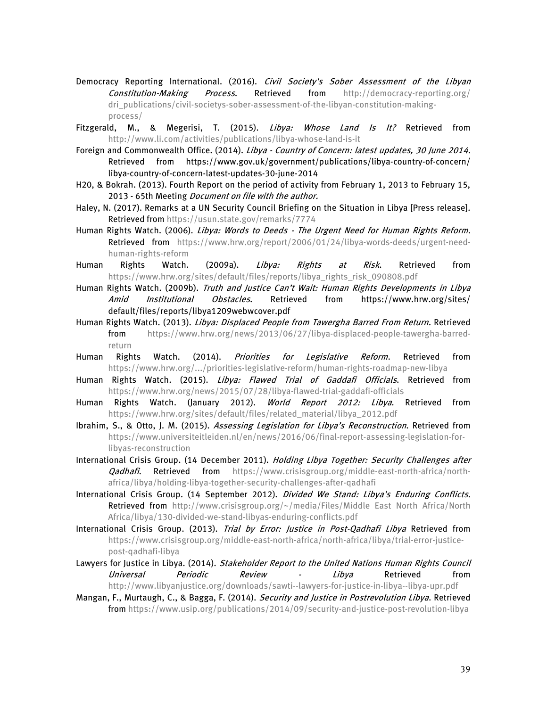- Democracy Reporting International. (2016). Civil Society's Sober Assessment of the Libyan Constitution-Making Process. Retrieved from [http://democracy-reporting.org/](http://democracy-reporting.org/dri_publications/civil-societys-sober-assessment-of-the-libyan-constitution-making-process/) [dri\\_publications/civil-societys-sober-assessment-of-the-libyan-constitution-making](http://democracy-reporting.org/dri_publications/civil-societys-sober-assessment-of-the-libyan-constitution-making-process/)[process/](http://democracy-reporting.org/dri_publications/civil-societys-sober-assessment-of-the-libyan-constitution-making-process/)
- Fitzgerald, M., & Megerisi, T. (2015). Libya: Whose Land Is It? Retrieved from <http://www.li.com/activities/publications/libya-whose-land-is-it>
- Foreign and Commonwealth Office. (2014). Libya Country of Concern: latest updates, 30 June 2014. Retrieved from https://www.gov.uk/government/publications/libya-country-of-concern/ libya-country-of-concern-latest-updates-30-june-2014
- H20, & Bokrah. (2013). Fourth Report on the period of activity from February 1, 2013 to February 15, 2013 - 65th Meeting Document on file with the author.
- Haley, N. (2017). Remarks at a UN Security Council Briefing on the Situation in Libya [Press release]. Retrieved fro[m https://usun.state.gov/remarks/7774](https://usun.state.gov/remarks/7774)
- Human Rights Watch. (2006). Libya: Words to Deeds The Urgent Need for Human Rights Reform. Retrieved from [https://www.hrw.org/report/2006/01/24/libya-words-deeds/urgent-need](https://www.hrw.org/report/2006/01/24/libya-words-deeds/urgent-need-human-rights-reform)[human-rights-reform](https://www.hrw.org/report/2006/01/24/libya-words-deeds/urgent-need-human-rights-reform)
- Human Rights Watch. (2009a). *Libya: Rights at Risk*. Retrieved from [https://www.hrw.org/sites/default/files/reports/libya\\_rights\\_risk\\_090808.pdf](https://www.hrw.org/sites/default/files/reports/libya_rights_risk_090808.pdf)
- Human Rights Watch. (2009b). Truth and Justice Can't Wait: Human Rights Developments in Libya Amid Institutional Obstacles. Retrieved from https://www.hrw.org/sites/ default/files/reports/libya1209webwcover.pdf
- Human Rights Watch. (2013). *Libya: Displaced People from Tawergha Barred From Return*. Retrieved from [https://www.hrw.org/news/2013/06/27/libya-displaced-people-tawergha-barred](https://www.hrw.org/news/2013/06/27/libya-displaced-people-tawergha-barred-return)[return](https://www.hrw.org/news/2013/06/27/libya-displaced-people-tawergha-barred-return)
- Human Rights Watch. (2014). *Priorities for Legislative Reform*. Retrieved from <https://www.hrw.org/.../priorities-legislative-reform/human-rights-roadmap-new-libya>
- Human Rights Watch. (2015). Libya: Flawed Trial of Gaddafi Officials. Retrieved from <https://www.hrw.org/news/2015/07/28/libya-flawed-trial-gaddafi-officials>
- Human Rights Watch. (January 2012). World Report 2012: Libya. Retrieved from [https://www.hrw.org/sites/default/files/related\\_material/libya\\_2012.pdf](https://www.hrw.org/sites/default/files/related_material/libya_2012.pdf)
- Ibrahim, S., & Otto, J. M. (2015). Assessing Legislation for Libya's Reconstruction. Retrieved from [https://www.universiteitleiden.nl/en/news/2016/06/final-report-assessing-legislation-for](https://www.universiteitleiden.nl/en/news/2016/06/final-report-assessing-legislation-for-libyas-reconstruction)[libyas-reconstruction](https://www.universiteitleiden.nl/en/news/2016/06/final-report-assessing-legislation-for-libyas-reconstruction)
- International Crisis Group. (14 December 2011). Holding Libya Together: Security Challenges after Qadhafi. Retrieved from [https://www.crisisgroup.org/middle-east-north-africa/north](https://www.crisisgroup.org/middle-east-north-africa/north-africa/libya/holding-libya-together-security-challenges-after-qadhafi)[africa/libya/holding-libya-together-security-challenges-after-qadhafi](https://www.crisisgroup.org/middle-east-north-africa/north-africa/libya/holding-libya-together-security-challenges-after-qadhafi)
- International Crisis Group. (14 September 2012). Divided We Stand: Libya's Enduring Conflicts. Retrieved from [http://www.crisisgroup.org/~/media/Files/Middle East North Africa/North](http://www.crisisgroup.org/~/media/Files/Middle%20East%20North%20Africa/North%20Africa/libya/130-divided-we-stand-libyas-enduring-conflicts.pdf)  [Africa/libya/130-divided-we-stand-libyas-enduring-conflicts.pdf](http://www.crisisgroup.org/~/media/Files/Middle%20East%20North%20Africa/North%20Africa/libya/130-divided-we-stand-libyas-enduring-conflicts.pdf)
- International Crisis Group. (2013). Trial by Error: Justice in Post-Qadhafi Libya Retrieved from [https://www.crisisgroup.org/middle-east-north-africa/north-africa/libya/trial-error-justice](https://www.crisisgroup.org/middle-east-north-africa/north-africa/libya/trial-error-justice-post-qadhafi-libya)[post-qadhafi-libya](https://www.crisisgroup.org/middle-east-north-africa/north-africa/libya/trial-error-justice-post-qadhafi-libya)
- Lawyers for Justice in Libya. (2014). Stakeholder Report to the United Nations Human Rights Council *Universal Periodic Review - Libya* Retrieved from <http://www.libyanjustice.org/downloads/sawti--lawyers-for-justice-in-libya--libya-upr.pdf>
- Mangan, F., Murtaugh, C., & Bagga, F. (2014). Security and Justice in Postrevolution Libya. Retrieved fro[m https://www.usip.org/publications/2014/09/security-and-justice-post-revolution-libya](https://www.usip.org/publications/2014/09/security-and-justice-post-revolution-libya)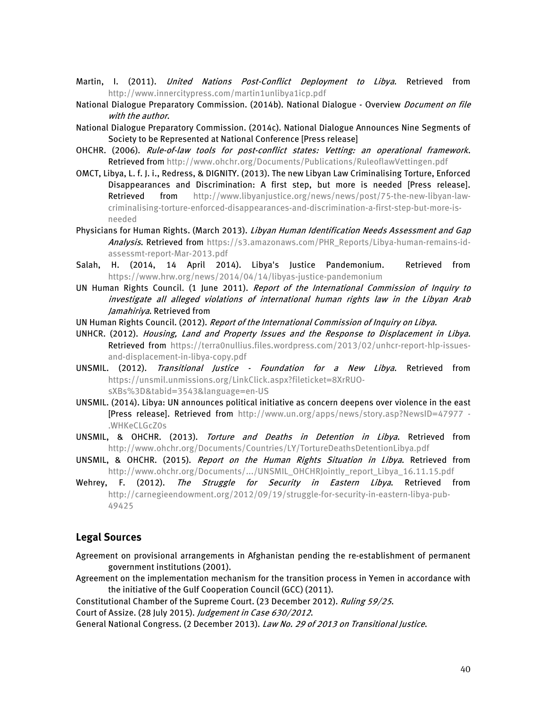- Martin, I. (2011). *United Nations Post-Conflict Deployment to Libya*. Retrieved from <http://www.innercitypress.com/martin1unlibya1icp.pdf>
- National Dialogue Preparatory Commission. (2014b). National Dialogue Overview *Document on file* with the author.
- National Dialogue Preparatory Commission. (2014c). National Dialogue Announces Nine Segments of Society to be Represented at National Conference [Press release]
- OHCHR. (2006). Rule-of-law tools for post-conflict states: Vetting: an operational framework. Retrieved fro[m http://www.ohchr.org/Documents/Publications/RuleoflawVettingen.pdf](http://www.ohchr.org/Documents/Publications/RuleoflawVettingen.pdf)
- OMCT, Libya, L. f. J. i., Redress, & DIGNITY. (2013). The new Libyan Law Criminalising Torture, Enforced Disappearances and Discrimination: A first step, but more is needed [Press release]. Retrieved from [http://www.libyanjustice.org/news/news/post/75-the-new-libyan-law](http://www.libyanjustice.org/news/news/post/75-the-new-libyan-law-criminalising-torture-enforced-disappearances-and-discrimination-a-first-step-but-more-is-needed)[criminalising-torture-enforced-disappearances-and-discrimination-a-first-step-but-more-is](http://www.libyanjustice.org/news/news/post/75-the-new-libyan-law-criminalising-torture-enforced-disappearances-and-discrimination-a-first-step-but-more-is-needed)[needed](http://www.libyanjustice.org/news/news/post/75-the-new-libyan-law-criminalising-torture-enforced-disappearances-and-discrimination-a-first-step-but-more-is-needed)
- Physicians for Human Rights. (March 2013). Libyan Human Identification Needs Assessment and Gap Analysis. Retrieved from [https://s3.amazonaws.com/PHR\\_Reports/Libya-human-remains-id](https://s3.amazonaws.com/PHR_Reports/Libya-human-remains-id-assessmt-report-Mar-2013.pdf)[assessmt-report-Mar-2013.pdf](https://s3.amazonaws.com/PHR_Reports/Libya-human-remains-id-assessmt-report-Mar-2013.pdf)
- Salah, H. (2014, 14 April 2014). Libya's Justice Pandemonium. Retrieved from <https://www.hrw.org/news/2014/04/14/libyas-justice-pandemonium>
- UN Human Rights Council. (1 June 2011). Report of the International Commission of Inquiry to investigate all alleged violations of international human rights law in the Libyan Arab Jamahiriya. Retrieved from
- UN Human Rights Council. (2012). Report of the International Commission of Inquiry on Libya.
- UNHCR. (2012). Housing, Land and Property Issues and the Response to Displacement in Libya. Retrieved from [https://terra0nullius.files.wordpress.com/2013/02/unhcr-report-hlp-issues](https://terra0nullius.files.wordpress.com/2013/02/unhcr-report-hlp-issues-and-displacement-in-libya-copy.pdf)[and-displacement-in-libya-copy.pdf](https://terra0nullius.files.wordpress.com/2013/02/unhcr-report-hlp-issues-and-displacement-in-libya-copy.pdf)
- UNSMIL. (2012). Transitional Justice Foundation for a New Libya. Retrieved from [https://unsmil.unmissions.org/LinkClick.aspx?fileticket=8XrRUO](https://unsmil.unmissions.org/LinkClick.aspx?fileticket=8XrRUO-sXBs%3D&tabid=3543&language=en-US)[sXBs%3D&tabid=3543&language=en-US](https://unsmil.unmissions.org/LinkClick.aspx?fileticket=8XrRUO-sXBs%3D&tabid=3543&language=en-US)
- UNSMIL. (2014). Libya: UN announces political initiative as concern deepens over violence in the east [Press release]. Retrieved from [http://www.un.org/apps/news/story.asp?NewsID=47977 -](http://www.un.org/apps/news/story.asp?NewsID=47977#.WHKeCLGcZ0s) [.WHKeCLGcZ0s](http://www.un.org/apps/news/story.asp?NewsID=47977#.WHKeCLGcZ0s)
- UNSMIL, & OHCHR. (2013). Torture and Deaths in Detention in Libya. Retrieved from <http://www.ohchr.org/Documents/Countries/LY/TortureDeathsDetentionLibya.pdf>
- UNSMIL, & OHCHR. (2015). Report on the Human Rights Situation in Libya. Retrieved from [http://www.ohchr.org/Documents/.../UNSMIL\\_OHCHRJointly\\_report\\_Libya\\_16.11.15.pdf](http://www.ohchr.org/Documents/.../UNSMIL_OHCHRJointly_report_Libya_16.11.15.pdf)
- Wehrey, F. (2012). The Struggle for Security in Eastern Libya. Retrieved from [http://carnegieendowment.org/2012/09/19/struggle-for-security-in-eastern-libya-pub-](http://carnegieendowment.org/2012/09/19/struggle-for-security-in-eastern-libya-pub-49425)[49425](http://carnegieendowment.org/2012/09/19/struggle-for-security-in-eastern-libya-pub-49425)

#### **Legal Sources**

- Agreement on provisional arrangements in Afghanistan pending the re-establishment of permanent government institutions (2001).
- Agreement on the implementation mechanism for the transition process in Yemen in accordance with the initiative of the Gulf Cooperation Council (GCC) (2011).

Constitutional Chamber of the Supreme Court. (23 December 2012). Ruling 59/25.

Court of Assize. (28 July 2015). Judgement in Case 630/2012.

General National Congress. (2 December 2013). Law No. 29 of 2013 on Transitional Justice.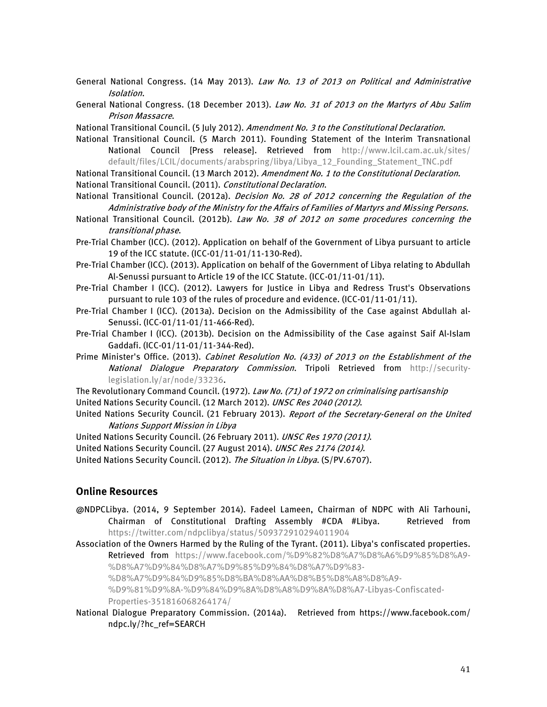- General National Congress. (14 May 2013). Law No. 13 of 2013 on Political and Administrative Isolation.
- General National Congress. (18 December 2013). Law No. 31 of 2013 on the Martyrs of Abu Salim Prison Massacre.
- National Transitional Council. (5 July 2012). Amendment No. 3 to the Constitutional Declaration.
- National Transitional Council. (5 March 2011). Founding Statement of the Interim Transnational National Council [Press release]. Retrieved from [http://www.lcil.cam.ac.uk/sites/](http://www.lcil.cam.ac.uk/sites/default/files/LCIL/documents/arabspring/libya/Libya_12_Founding_Statement_TNC.pdf) [default/files/LCIL/documents/arabspring/libya/Libya\\_12\\_Founding\\_Statement\\_TNC.pdf](http://www.lcil.cam.ac.uk/sites/default/files/LCIL/documents/arabspring/libya/Libya_12_Founding_Statement_TNC.pdf)

National Transitional Council. (13 March 2012). Amendment No. 1 to the Constitutional Declaration. National Transitional Council. (2011). Constitutional Declaration.

- National Transitional Council. (2012a). Decision No. 28 of 2012 concerning the Regulation of the Administrative body of the Ministry for the Affairs of Families of Martyrs and Missing Persons.
- National Transitional Council. (2012b). Law No. 38 of 2012 on some procedures concerning the transitional phase.
- Pre-Trial Chamber (ICC). (2012). Application on behalf of the Government of Libya pursuant to article 19 of the ICC statute. (ICC-01/11-01/11-130-Red).
- Pre-Trial Chamber (ICC). (2013). Application on behalf of the Government of Libya relating to Abdullah Al-Senussi pursuant to Article 19 of the ICC Statute. (ICC-01/11-01/11).
- Pre-Trial Chamber I (ICC). (2012). Lawyers for Justice in Libya and Redress Trust's Observations pursuant to rule 103 of the rules of procedure and evidence. (ICC-01/11-01/11).
- Pre-Trial Chamber I (ICC). (2013a). Decision on the Admissibility of the Case against Abdullah al-Senussi. (ICC-01/11-01/11-466-Red).
- Pre-Trial Chamber I (ICC). (2013b). Decision on the Admissibility of the Case against Saif Al-Islam Gaddafi. (ICC-01/11-01/11-344-Red).
- Prime Minister's Office. (2013). Cabinet Resolution No. (433) of 2013 on the Establishment of the National Dialogue Preparatory Commission. Tripoli Retrieved from [http://security](http://security-legislation.ly/ar/node/33236)[legislation.ly/ar/node/33236.](http://security-legislation.ly/ar/node/33236)

The Revolutionary Command Council. (1972). Law No. (71) of 1972 on criminalising partisanship United Nations Security Council. (12 March 2012). UNSC Res 2040 (2012).

- United Nations Security Council. (21 February 2013). Report of the Secretary-General on the United Nations Support Mission in Libya
- United Nations Security Council. (26 February 2011). UNSC Res 1970 (2011).

United Nations Security Council. (27 August 2014). UNSC Res 2174 (2014).

United Nations Security Council. (2012). The Situation in Libya. (S/PV.6707).

#### **Online Resources**

- @NDPCLibya. (2014, 9 September 2014). Fadeel Lameen, Chairman of NDPC with Ali Tarhouni, Chairman of Constitutional Drafting Assembly #CDA #Libya. Retrieved from <https://twitter.com/ndpclibya/status/509372910294011904>
- Association of the Owners Harmed by the Ruling of the Tyrant. (2011). Libya's confiscated properties. Retrieved from [https://www.facebook.com/%D9%82%D8%A7%D8%A6%D9%85%D8%A9-](https://www.facebook.com/%D9%82%D8%A7%D8%A6%D9%85%D8%A9-%D8%A7%D9%84%D8%A7%D9%85%D9%84%D8%A7%D9%83-%D8%A7%D9%84%D9%85%D8%BA%D8%AA%D8%B5%D8%A8%D8%A9-%D9%81%D9%8A-%D9%84%D9%8A%D8%A8%D9%8A%D8%A7-Libyas-Confiscated-Properties-351816068264174/) [%D8%A7%D9%84%D8%A7%D9%85%D9%84%D8%A7%D9%83-](https://www.facebook.com/%D9%82%D8%A7%D8%A6%D9%85%D8%A9-%D8%A7%D9%84%D8%A7%D9%85%D9%84%D8%A7%D9%83-%D8%A7%D9%84%D9%85%D8%BA%D8%AA%D8%B5%D8%A8%D8%A9-%D9%81%D9%8A-%D9%84%D9%8A%D8%A8%D9%8A%D8%A7-Libyas-Confiscated-Properties-351816068264174/)

[%D8%A7%D9%84%D9%85%D8%BA%D8%AA%D8%B5%D8%A8%D8%A9-](https://www.facebook.com/%D9%82%D8%A7%D8%A6%D9%85%D8%A9-%D8%A7%D9%84%D8%A7%D9%85%D9%84%D8%A7%D9%83-%D8%A7%D9%84%D9%85%D8%BA%D8%AA%D8%B5%D8%A8%D8%A9-%D9%81%D9%8A-%D9%84%D9%8A%D8%A8%D9%8A%D8%A7-Libyas-Confiscated-Properties-351816068264174/)

[%D9%81%D9%8A-%D9%84%D9%8A%D8%A8%D9%8A%D8%A7-Libyas-Confiscated-](https://www.facebook.com/%D9%82%D8%A7%D8%A6%D9%85%D8%A9-%D8%A7%D9%84%D8%A7%D9%85%D9%84%D8%A7%D9%83-%D8%A7%D9%84%D9%85%D8%BA%D8%AA%D8%B5%D8%A8%D8%A9-%D9%81%D9%8A-%D9%84%D9%8A%D8%A8%D9%8A%D8%A7-Libyas-Confiscated-Properties-351816068264174/)

[Properties-351816068264174/](https://www.facebook.com/%D9%82%D8%A7%D8%A6%D9%85%D8%A9-%D8%A7%D9%84%D8%A7%D9%85%D9%84%D8%A7%D9%83-%D8%A7%D9%84%D9%85%D8%BA%D8%AA%D8%B5%D8%A8%D8%A9-%D9%81%D9%8A-%D9%84%D9%8A%D8%A8%D9%8A%D8%A7-Libyas-Confiscated-Properties-351816068264174/)

National Dialogue Preparatory Commission. (2014a). Retrieved from https://www.facebook.com/ ndpc.ly/?hc\_ref=SEARCH